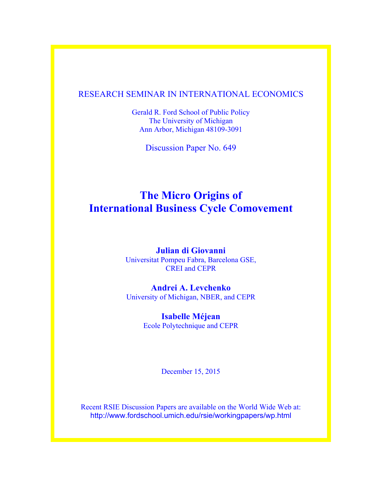# RESEARCH SEMINAR IN INTERNATIONAL ECONOMICS

Gerald R. Ford School of Public Policy The University of Michigan Ann Arbor, Michigan 48109-3091

Discussion Paper No. 649

# **The Micro Origins of International Business Cycle Comovement**

# **Julian di Giovanni** Universitat Pompeu Fabra, Barcelona GSE, CREI and CEPR

# **Andrei A. Levchenko** University of Michigan, NBER, and CEPR

# **Isabelle Méjean**  Ecole Polytechnique and CEPR

December 15, 2015

Recent RSIE Discussion Papers are available on the World Wide Web at: http://www.fordschool.umich.edu/rsie/workingpapers/wp.html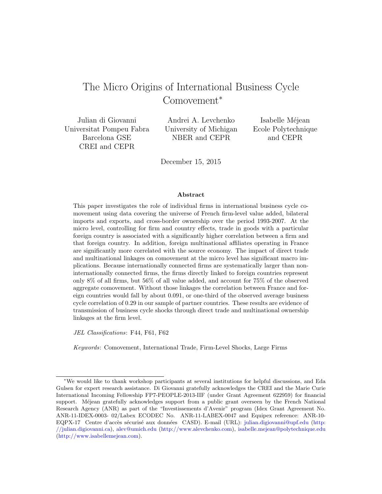# The Micro Origins of International Business Cycle Comovement<sup>∗</sup>

Julian di Giovanni Universitat Pompeu Fabra Barcelona GSE CREI and CEPR

Andrei A. Levchenko University of Michigan NBER and CEPR

Isabelle Méjean Ecole Polytechnique and CEPR

December 15, 2015

#### Abstract

This paper investigates the role of individual firms in international business cycle comovement using data covering the universe of French firm-level value added, bilateral imports and exports, and cross-border ownership over the period 1993-2007. At the micro level, controlling for firm and country effects, trade in goods with a particular foreign country is associated with a significantly higher correlation between a firm and that foreign country. In addition, foreign multinational affiliates operating in France are significantly more correlated with the source economy. The impact of direct trade and multinational linkages on comovement at the micro level has significant macro implications. Because internationally connected firms are systematically larger than noninternationally connected firms, the firms directly linked to foreign countries represent only 8% of all firms, but 56% of all value added, and account for 75% of the observed aggregate comovement. Without those linkages the correlation between France and foreign countries would fall by about 0.091, or one-third of the observed average business cycle correlation of 0.29 in our sample of partner countries. These results are evidence of transmission of business cycle shocks through direct trade and multinational ownership linkages at the firm level.

JEL Classifications: F44, F61, F62

Keywords: Comovement, International Trade, Firm-Level Shocks, Large Firms

<sup>∗</sup>We would like to thank workshop participants at several institutions for helpful discussions, and Eda Gulsen for expert research assistance. Di Giovanni gratefully acknowledges the CREI and the Marie Curie International Incoming Fellowship FP7-PEOPLE-2013-IIF (under Grant Agreement 622959) for financial support. Méjean gratefully acknowledges support from a public grant overseen by the French National Research Agency (ANR) as part of the "Investissements d'Avenir" program (Idex Grant Agreement No. ANR-11-IDEX-0003- 02/Labex ECODEC No. ANR-11-LABEX-0047 and Equipex reference: ANR-10 EQPX-17 Centre d'accès sécurisé aux données CASD). E-mail (URL): [julian.digiovanni@upf.edu](mailto:julian.digiovanni@upf.edu) [\(http:](http://julian.digiovanni.ca) [//julian.digiovanni.ca\)](http://julian.digiovanni.ca), [alev@umich.edu](mailto:alev@umich.edu) [\(http://www.alevchenko.com\)](http://www.alevchenko.com), [isabelle.mejean@polytechnique.edu](mailto:isabelle.mejean@polytechnique.edu) [\(http://www.isabellemejean.com\)](http://www.isabellemejean.com).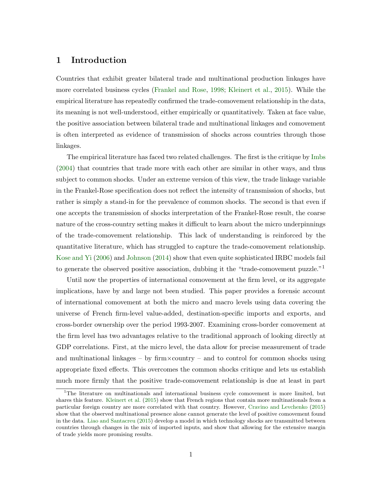## 1 Introduction

Countries that exhibit greater bilateral trade and multinational production linkages have more correlated business cycles [\(Frankel and Rose,](#page-28-0) [1998;](#page-28-0) [Kleinert et al.,](#page-28-1) [2015\)](#page-28-1). While the empirical literature has repeatedly confirmed the trade-comovement relationship in the data, its meaning is not well-understood, either empirically or quantitatively. Taken at face value, the positive association between bilateral trade and multinational linkages and comovement is often interpreted as evidence of transmission of shocks across countries through those linkages.

The empirical literature has faced two related challenges. The first is the critique by [Imbs](#page-28-2) [\(2004\)](#page-28-2) that countries that trade more with each other are similar in other ways, and thus subject to common shocks. Under an extreme version of this view, the trade linkage variable in the Frankel-Rose specification does not reflect the intensity of transmission of shocks, but rather is simply a stand-in for the prevalence of common shocks. The second is that even if one accepts the transmission of shocks interpretation of the Frankel-Rose result, the coarse nature of the cross-country setting makes it difficult to learn about the micro underpinnings of the trade-comovement relationship. This lack of understanding is reinforced by the quantitative literature, which has struggled to capture the trade-comovement relationship. [Kose and Yi](#page-28-3) [\(2006\)](#page-28-3) and [Johnson](#page-28-4) [\(2014\)](#page-28-4) show that even quite sophisticated IRBC models fail to generate the observed positive association, dubbing it the "trade-comovement puzzle."<sup>1</sup>

Until now the properties of international comovement at the firm level, or its aggregate implications, have by and large not been studied. This paper provides a forensic account of international comovement at both the micro and macro levels using data covering the universe of French firm-level value-added, destination-specific imports and exports, and cross-border ownership over the period 1993-2007. Examining cross-border comovement at the firm level has two advantages relative to the traditional approach of looking directly at GDP correlations. First, at the micro level, the data allow for precise measurement of trade and multinational linkages – by  $\dim \times \text{country}$  – and to control for common shocks using appropriate fixed effects. This overcomes the common shocks critique and lets us establish much more firmly that the positive trade-comovement relationship is due at least in part

<sup>&</sup>lt;sup>1</sup>The literature on multinationals and international business cycle comovement is more limited, but shares this feature. [Kleinert et al.](#page-28-1) [\(2015\)](#page-28-1) show that French regions that contain more multinationals from a particular foreign country are more correlated with that country. However, [Cravino and Levchenko](#page-27-0) [\(2015\)](#page-27-0) show that the observed multinational presence alone cannot generate the level of positive comovement found in the data. [Liao and Santacreu](#page-28-5) [\(2015\)](#page-28-5) develop a model in which technology shocks are transmitted between countries through changes in the mix of imported inputs, and show that allowing for the extensive margin of trade yields more promising results.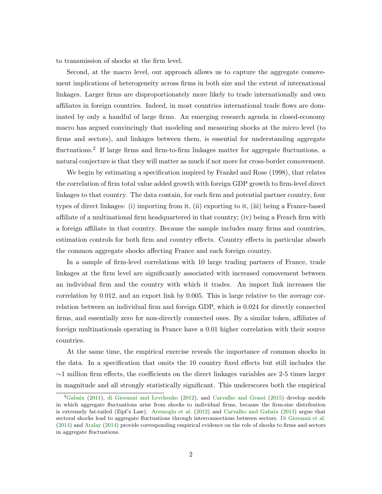to transmission of shocks at the firm level.

Second, at the macro level, our approach allows us to capture the aggregate comovement implications of heterogeneity across firms in both size and the extent of international linkages. Larger firms are disproportionately more likely to trade internationally and own affiliates in foreign countries. Indeed, in most countries international trade flows are dominated by only a handful of large firms. An emerging research agenda in closed-economy macro has argued convincingly that modeling and measuring shocks at the micro level (to firms and sectors), and linkages between them, is essential for understanding aggregate fluctuations.<sup>2</sup> If large firms and firm-to-firm linkages matter for aggregate fluctuations, a natural conjecture is that they will matter as much if not more for cross-border comovement.

We begin by estimating a specification inspired by Frankel and Rose (1998), that relates the correlation of firm total value added growth with foreign GDP growth to firm-level direct linkages to that country. The data contain, for each firm and potential partner country, four types of direct linkages: (i) importing from it, (ii) exporting to it, (iii) being a France-based affiliate of a multinational firm headquartered in that country; (iv) being a French firm with a foreign affiliate in that country. Because the sample includes many firms and countries, estimation controls for both firm and country effects. Country effects in particular absorb the common aggregate shocks affecting France and each foreign country.

In a sample of firm-level correlations with 10 large trading partners of France, trade linkages at the firm level are significantly associated with increased comovement between an individual firm and the country with which it trades. An import link increases the correlation by 0.012, and an export link by 0.005. This is large relative to the average correlation between an individual firm and foreign GDP, which is 0.024 for directly connected firms, and essentially zero for non-directly connected ones. By a similar token, affiliates of foreign multinationals operating in France have a 0.01 higher correlation with their source countries.

At the same time, the empirical exercise reveals the importance of common shocks in the data. In a specification that omits the 10 country fixed effects but still includes the  $\sim$ 1 million firm effects, the coefficients on the direct linkages variables are 2-5 times larger in magnitude and all strongly statistically significant. This underscores both the empirical

<sup>2</sup>[Gabaix](#page-28-6) [\(2011\)](#page-28-6), [di Giovanni and Levchenko](#page-27-1) [\(2012\)](#page-27-1), and [Carvalho and Grassi](#page-27-2) [\(2015\)](#page-27-2) develop models in which aggregate fluctuations arise from shocks to individual firms, because the firm-size distribution is extremely fat-tailed (Zipf's Law). [Acemoglu et al.](#page-27-3) [\(2012\)](#page-27-3) and [Carvalho and Gabaix](#page-27-4) [\(2013\)](#page-27-4) argue that sectoral shocks lead to aggregate fluctuations through interconnections between sectors. [Di Giovanni et al.](#page-28-7) [\(2014\)](#page-28-7) and [Atalay](#page-27-5) [\(2014\)](#page-27-5) provide corresponding empirical evidence on the role of shocks to firms and sectors in aggregate fluctuations.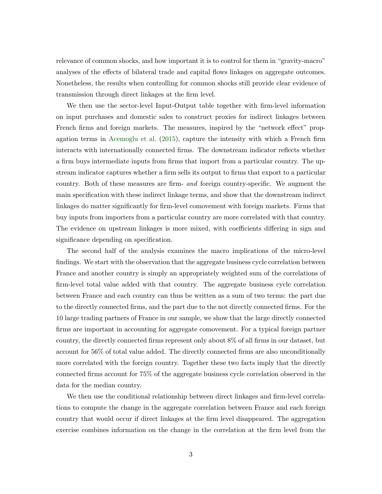relevance of common shocks, and how important it is to control for them in "gravity-macro" analyses of the effects of bilateral trade and capital flows linkages on aggregate outcomes. Nonetheless, the results when controlling for common shocks still provide clear evidence of transmission through direct linkages at the firm level.

We then use the sector-level Input-Output table together with firm-level information on input purchases and domestic sales to construct proxies for indirect linkages between French firms and foreign markets. The measures, inspired by the "network effect" propagation terms in [Acemoglu et al.](#page-27-6) [\(2015\)](#page-27-6), capture the intensity with which a French firm interacts with internationally connected firms. The downstream indicator reflects whether a firm buys intermediate inputs from firms that import from a particular country. The upstream indicator captures whether a firm sells its output to firms that export to a particular country. Both of these measures are firm- and foreign country-specific. We augment the main specification with these indirect linkage terms, and show that the downstream indirect linkages do matter significantly for firm-level comovement with foreign markets. Firms that buy inputs from importers from a particular country are more correlated with that country. The evidence on upstream linkages is more mixed, with coefficients differing in sign and significance depending on specification.

The second half of the analysis examines the macro implications of the micro-level findings. We start with the observation that the aggregate business cycle correlation between France and another country is simply an appropriately weighted sum of the correlations of firm-level total value added with that country. The aggregate business cycle correlation between France and each country can thus be written as a sum of two terms: the part due to the directly connected firms, and the part due to the not directly connected firms. For the 10 large trading partners of France in our sample, we show that the large directly connected firms are important in accounting for aggregate comovement. For a typical foreign partner country, the directly connected firms represent only about 8% of all firms in our dataset, but account for 56% of total value added. The directly connected firms are also unconditionally more correlated with the foreign country. Together these two facts imply that the directly connected firms account for 75% of the aggregate business cycle correlation observed in the data for the median country.

We then use the conditional relationship between direct linkages and firm-level correlations to compute the change in the aggregate correlation between France and each foreign country that would occur if direct linkages at the firm level disappeared. The aggregation exercise combines information on the change in the correlation at the firm level from the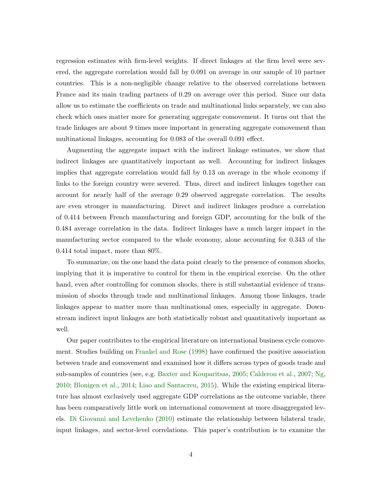regression estimates with firm-level weights. If direct linkages at the firm level were severed, the aggregate correlation would fall by 0.091 on average in our sample of 10 partner countries. This is a non-negligible change relative to the observed correlations between France and its main trading partners of 0.29 on average over this period. Since our data allow us to estimate the coefficients on trade and multinational links separately, we can also check which ones matter more for generating aggregate comovement. It turns out that the trade linkages are about 9 times more important in generating aggregate comovement than multinational linkages, accounting for 0.083 of the overall 0.091 effect.

Augmenting the aggregate impact with the indirect linkage estimates, we show that indirect linkages are quantitatively important as well. Accounting for indirect linkages implies that aggregate correlation would fall by 0.13 on average in the whole economy if links to the foreign country were severed. Thus, direct and indirect linkages together can account for nearly half of the average 0.29 observed aggregate correlation. The results are even stronger in manufacturing. Direct and indirect linkages produce a correlation of 0.414 between French manufacturing and foreign GDP, accounting for the bulk of the 0.484 average correlation in the data. Indirect linkages have a much larger impact in the manufacturing sector compared to the whole economy, alone accounting for 0.343 of the 0.414 total impact, more than 80%.

To summarize, on the one hand the data point clearly to the presence of common shocks, implying that it is imperative to control for them in the empirical exercise. On the other hand, even after controlling for common shocks, there is still substantial evidence of transmission of shocks through trade and multinational linkages. Among those linkages, trade linkages appear to matter more than multinational ones, especially in aggregate. Downstream indirect input linkages are both statistically robust and quantitatively important as well.

Our paper contributes to the empirical literature on international business cycle comovement. Studies building on [Frankel and Rose](#page-28-0) [\(1998\)](#page-28-0) have confirmed the positive association between trade and comovement and examined how it differs across types of goods trade and sub-samples of countries (see, e.g. [Baxter and Kouparitsas,](#page-27-7) [2005;](#page-27-7) [Calderon et al.,](#page-27-8) [2007;](#page-27-8) [Ng,](#page-28-8) [2010;](#page-28-8) [Blonigen et al.,](#page-27-9) [2014;](#page-27-9) [Liao and Santacreu,](#page-28-5) [2015\)](#page-28-5). While the existing empirical literature has almost exclusively used aggregate GDP correlations as the outcome variable, there has been comparatively little work on international comovement at more disaggregated levels. [Di Giovanni and Levchenko](#page-27-10) [\(2010\)](#page-27-10) estimate the relationship between bilateral trade, input linkages, and sector-level correlations. This paper's contribution is to examine the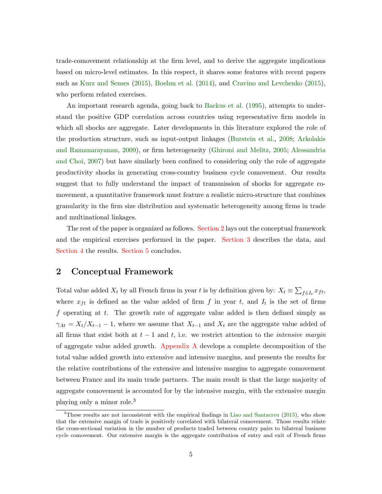trade-comovement relationship at the firm level, and to derive the aggregate implications based on micro-level estimates. In this respect, it shares some features with recent papers such as [Kurz and Senses](#page-28-9) [\(2015\)](#page-28-9), [Boehm et al.](#page-27-11) [\(2014\)](#page-27-11), and [Cravino and Levchenko](#page-27-0) [\(2015\)](#page-27-0), who perform related exercises.

An important research agenda, going back to [Backus et al.](#page-27-12) [\(1995\)](#page-27-12), attempts to understand the positive GDP correlation across countries using representative firm models in which all shocks are aggregate. Later developments in this literature explored the role of the production structure, such as input-output linkages [\(Burstein et al.,](#page-27-13) [2008;](#page-27-13) [Arkolakis](#page-27-14) [and Ramanarayanan,](#page-27-14) [2009\)](#page-27-14), or firm heterogeneity [\(Ghironi and Melitz,](#page-28-10) [2005;](#page-28-10) [Alessandria](#page-27-15) [and Choi,](#page-27-15) [2007\)](#page-27-15) but have similarly been confined to considering only the role of aggregate productivity shocks in generating cross-country business cycle comovement. Our results suggest that to fully understand the impact of transmission of shocks for aggregate comovement, a quantitative framework must feature a realistic micro-structure that combines granularity in the firm size distribution and systematic heterogeneity among firms in trade and multinational linkages.

The rest of the paper is organized as follows. [Section 2](#page-6-0) lays out the conceptual framework and the empirical exercises performed in the paper. [Section 3](#page-13-0) describes the data, and [Section 4](#page-18-0) the results. [Section 5](#page-23-0) concludes.

## <span id="page-6-0"></span>2 Conceptual Framework

Total value added  $X_t$  by all French firms in year t is by definition given by:  $X_t \equiv \sum_{f \in I_t} x_{ft}$ , where  $x_{ft}$  is defined as the value added of firm f in year t, and  $I_t$  is the set of firms f operating at t. The growth rate of aggregate value added is then defined simply as  $\gamma_{At} = X_t/X_{t-1} - 1$ , where we assume that  $X_{t-1}$  and  $X_t$  are the aggregate value added of all firms that exist both at  $t-1$  and  $t$ , i.e. we restrict attention to the *intensive margin* of aggregate value added growth. [Appendix A](#page-25-0) develops a complete decomposition of the total value added growth into extensive and intensive margins, and presents the results for the relative contributions of the extensive and intensive margins to aggregate comovement between France and its main trade partners. The main result is that the large majority of aggregate comovement is accounted for by the intensive margin, with the extensive margin playing only a minor role.<sup>3</sup>

<sup>3</sup>These results are not inconsistent with the empirical findings in [Liao and Santacreu](#page-28-5) [\(2015\)](#page-28-5), who show that the extensive margin of trade is positively correlated with bilateral comovement. Those results relate the cross-sectional variation in the number of products traded between country pairs to bilateral business cycle comovement. Our extensive margin is the aggregate contribution of entry and exit of French firms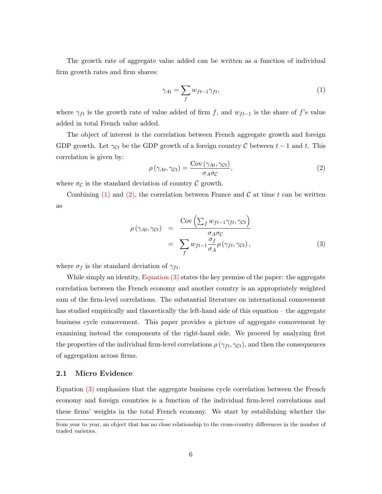The growth rate of aggregate value added can be written as a function of individual firm growth rates and firm shares:

<span id="page-7-0"></span>
$$
\gamma_{At} = \sum_{f} w_{ft-1} \gamma_{ft},\tag{1}
$$

where  $\gamma_{ft}$  is the growth rate of value added of firm f, and  $w_{ft-1}$  is the share of f's value added in total French value added.

The object of interest is the correlation between French aggregate growth and foreign GDP growth. Let  $\gamma_{\mathcal{C}t}$  be the GDP growth of a foreign country  $\mathcal C$  between  $t-1$  and  $t$ . This correlation is given by:

<span id="page-7-1"></span>
$$
\rho\left(\gamma_{At}, \gamma_{Ct}\right) = \frac{\text{Cov}\left(\gamma_{At}, \gamma_{Ct}\right)}{\sigma_A \sigma_C},\tag{2}
$$

where  $\sigma_{\mathcal{C}}$  is the standard deviation of country  $\mathcal{C}$  growth.

Combining  $(1)$  and  $(2)$ , the correlation between France and C at time t can be written as

<span id="page-7-2"></span>
$$
\rho(\gamma_{At}, \gamma_{Ct}) = \frac{\text{Cov}\left(\sum_{f} w_{ft-1} \gamma_{ft}, \gamma_{Ct}\right)}{\sigma_A \sigma_C} \n= \sum_{f} w_{ft-1} \frac{\sigma_f}{\sigma_A} \rho(\gamma_{ft}, \gamma_{Ct}),
$$
\n(3)

where  $\sigma_f$  is the standard deviation of  $\gamma_{ft}$ .

While simply an identity, [Equation \(3\)](#page-7-2) states the key premise of the paper: the aggregate correlation between the French economy and another country is an appropriately weighted sum of the firm-level correlations. The substantial literature on international comovement has studied empirically and theoretically the left-hand side of this equation – the aggregate business cycle comovement. This paper provides a picture of aggregate comovement by examining instead the components of the right-hand side. We proceed by analyzing first the properties of the individual firm-level correlations  $\rho(\gamma_{ft}, \gamma_{Ct})$ , and then the consequences of aggregation across firms.

#### 2.1 Micro Evidence

Equation [\(3\)](#page-7-2) emphasizes that the aggregate business cycle correlation between the French economy and foreign countries is a function of the individual firm-level correlations and these firms' weights in the total French economy. We start by establishing whether the

from year to year, an object that has no close relationship to the cross-country differences in the number of traded varieties.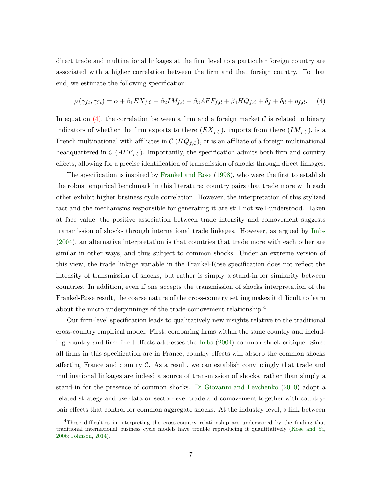direct trade and multinational linkages at the firm level to a particular foreign country are associated with a higher correlation between the firm and that foreign country. To that end, we estimate the following specification:

<span id="page-8-0"></span>
$$
\rho(\gamma_{ft}, \gamma_{Ct}) = \alpha + \beta_1 EX_{f,C} + \beta_2 IM_{f,C} + \beta_3 AFF_{f,C} + \beta_4 HQ_{f,C} + \delta_f + \delta_c + \eta_{f,C}.
$$
 (4)

In equation  $(4)$ , the correlation between a firm and a foreign market C is related to binary indicators of whether the firm exports to there  $(EX<sub>f</sub>,c)$ , imports from there  $(IM<sub>f</sub>,c)$ , is a French multinational with affiliates in  $\mathcal{C}(HQ_{f,\mathcal{C}})$ , or is an affiliate of a foreign multinational headquartered in  $\mathcal{C}(AFF_{f,\mathcal{C}})$ . Importantly, the specification admits both firm and country effects, allowing for a precise identification of transmission of shocks through direct linkages.

The specification is inspired by [Frankel and Rose](#page-28-0) [\(1998\)](#page-28-0), who were the first to establish the robust empirical benchmark in this literature: country pairs that trade more with each other exhibit higher business cycle correlation. However, the interpretation of this stylized fact and the mechanisms responsible for generating it are still not well-understood. Taken at face value, the positive association between trade intensity and comovement suggests transmission of shocks through international trade linkages. However, as argued by [Imbs](#page-28-2) [\(2004\)](#page-28-2), an alternative interpretation is that countries that trade more with each other are similar in other ways, and thus subject to common shocks. Under an extreme version of this view, the trade linkage variable in the Frankel-Rose specification does not reflect the intensity of transmission of shocks, but rather is simply a stand-in for similarity between countries. In addition, even if one accepts the transmission of shocks interpretation of the Frankel-Rose result, the coarse nature of the cross-country setting makes it difficult to learn about the micro underpinnings of the trade-comovement relationship.<sup>4</sup>

Our firm-level specification leads to qualitatively new insights relative to the traditional cross-country empirical model. First, comparing firms within the same country and including country and firm fixed effects addresses the [Imbs](#page-28-2) [\(2004\)](#page-28-2) common shock critique. Since all firms in this specification are in France, country effects will absorb the common shocks affecting France and country  $\mathcal C$ . As a result, we can establish convincingly that trade and multinational linkages are indeed a source of transmission of shocks, rather than simply a stand-in for the presence of common shocks. [Di Giovanni and Levchenko](#page-27-10) [\(2010\)](#page-27-10) adopt a related strategy and use data on sector-level trade and comovement together with countrypair effects that control for common aggregate shocks. At the industry level, a link between

<sup>4</sup>These difficulties in interpreting the cross-country relationship are underscored by the finding that traditional international business cycle models have trouble reproducing it quantitatively [\(Kose and Yi,](#page-28-3) [2006;](#page-28-3) [Johnson,](#page-28-4) [2014\)](#page-28-4).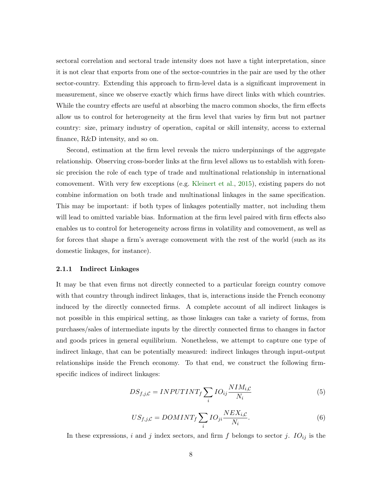sectoral correlation and sectoral trade intensity does not have a tight interpretation, since it is not clear that exports from one of the sector-countries in the pair are used by the other sector-country. Extending this approach to firm-level data is a significant improvement in measurement, since we observe exactly which firms have direct links with which countries. While the country effects are useful at absorbing the macro common shocks, the firm effects allow us to control for heterogeneity at the firm level that varies by firm but not partner country: size, primary industry of operation, capital or skill intensity, access to external finance, R&D intensity, and so on.

Second, estimation at the firm level reveals the micro underpinnings of the aggregate relationship. Observing cross-border links at the firm level allows us to establish with forensic precision the role of each type of trade and multinational relationship in international comovement. With very few exceptions (e.g. [Kleinert et al.,](#page-28-1) [2015\)](#page-28-1), existing papers do not combine information on both trade and multinational linkages in the same specification. This may be important: if both types of linkages potentially matter, not including them will lead to omitted variable bias. Information at the firm level paired with firm effects also enables us to control for heterogeneity across firms in volatility and comovement, as well as for forces that shape a firm's average comovement with the rest of the world (such as its domestic linkages, for instance).

#### 2.1.1 Indirect Linkages

It may be that even firms not directly connected to a particular foreign country comove with that country through indirect linkages, that is, interactions inside the French economy induced by the directly connected firms. A complete account of all indirect linkages is not possible in this empirical setting, as those linkages can take a variety of forms, from purchases/sales of intermediate inputs by the directly connected firms to changes in factor and goods prices in general equilibrium. Nonetheless, we attempt to capture one type of indirect linkage, that can be potentially measured: indirect linkages through input-output relationships inside the French economy. To that end, we construct the following firmspecific indices of indirect linkages:

<span id="page-9-0"></span>
$$
DS_{f,j,C} = INPUTINT_f \sum_{i} IO_{ij} \frac{NIM_{i,C}}{N_i}
$$
\n<sup>(5)</sup>

<span id="page-9-1"></span>
$$
US_{f,j,C} = DOMINT_f \sum_{i} IO_{ji} \frac{NEX_{i,C}}{N_i}.
$$
\n
$$
(6)
$$

In these expressions, i and j index sectors, and firm  $f$  belongs to sector j.  $IO_{ij}$  is the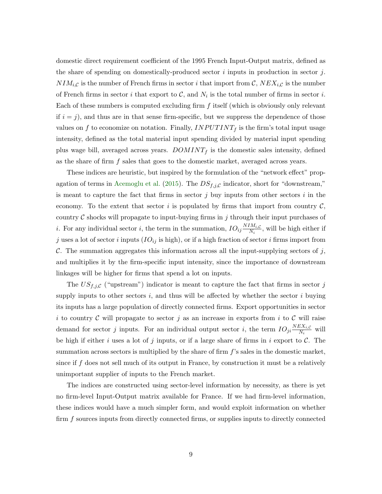domestic direct requirement coefficient of the 1995 French Input-Output matrix, defined as the share of spending on domestically-produced sector  $i$  inputs in production in sector  $j$ .  $NIM_{i,C}$  is the number of French firms in sector i that import from C,  $NEX_{i,C}$  is the number of French firms in sector i that export to  $\mathcal{C}$ , and  $N_i$  is the total number of firms in sector i. Each of these numbers is computed excluding firm  $f$  itself (which is obviously only relevant if  $i = j$ , and thus are in that sense firm-specific, but we suppress the dependence of those values on f to economize on notation. Finally,  $INPUTINT<sub>f</sub>$  is the firm's total input usage intensity, defined as the total material input spending divided by material input spending plus wage bill, averaged across years.  $DOMINT<sub>f</sub>$  is the domestic sales intensity, defined as the share of firm f sales that goes to the domestic market, averaged across years.

These indices are heuristic, but inspired by the formulation of the "network effect" prop-agation of terms in [Acemoglu et al.](#page-27-6) [\(2015\)](#page-27-6). The  $DS_{f,j,C}$  indicator, short for "downstream," is meant to capture the fact that firms in sector  $j$  buy inputs from other sectors  $i$  in the economy. To the extent that sector i is populated by firms that import from country  $\mathcal{C}$ , country  $C$  shocks will propagate to input-buying firms in j through their input purchases of *i*. For any individual sector *i*, the term in the summation,  $IO_{ij} \frac{NIM_{i,C}}{N_{i}}$  $\frac{N_{i}N_{i}}{N_{i}}$ , will be high either if j uses a lot of sector i inputs  $(IO_{ij}$  is high), or if a high fraction of sector i firms import from C. The summation aggregates this information across all the input-supplying sectors of j, and multiplies it by the firm-specific input intensity, since the importance of downstream linkages will be higher for firms that spend a lot on inputs.

The  $US_{f,j,C}$  ("upstream") indicator is meant to capture the fact that firms in sector j supply inputs to other sectors  $i$ , and thus will be affected by whether the sector  $i$  buying its inputs has a large population of directly connected firms. Export opportunities in sector i to country C will propagate to sector j as an increase in exports from i to C will raise demand for sector j inputs. For an individual output sector i, the term  $IO_{ji} \frac{NEX_{i,C}}{N_i}$  $\frac{\partial X_i}{\partial N_i}$  will be high if either i uses a lot of j inputs, or if a large share of firms in i export to  $C$ . The summation across sectors is multiplied by the share of firm  $f$ 's sales in the domestic market, since if f does not sell much of its output in France, by construction it must be a relatively unimportant supplier of inputs to the French market.

The indices are constructed using sector-level information by necessity, as there is yet no firm-level Input-Output matrix available for France. If we had firm-level information, these indices would have a much simpler form, and would exploit information on whether firm f sources inputs from directly connected firms, or supplies inputs to directly connected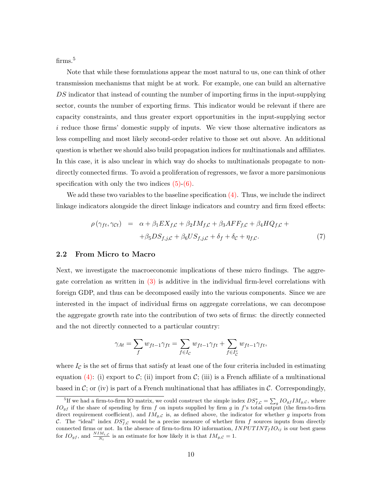firms.<sup>5</sup>

Note that while these formulations appear the most natural to us, one can think of other transmission mechanisms that might be at work. For example, one can build an alternative DS indicator that instead of counting the number of importing firms in the input-supplying sector, counts the number of exporting firms. This indicator would be relevant if there are capacity constraints, and thus greater export opportunities in the input-supplying sector i reduce those firms' domestic supply of inputs. We view those alternative indicators as less compelling and most likely second-order relative to those set out above. An additional question is whether we should also build propagation indices for multinationals and affiliates. In this case, it is also unclear in which way do shocks to multinationals propagate to nondirectly connected firms. To avoid a proliferation of regressors, we favor a more parsimonious specification with only the two indices  $(5)-(6)$  $(5)-(6)$ .

We add these two variables to the baseline specification  $(4)$ . Thus, we include the indirect linkage indicators alongside the direct linkage indicators and country and firm fixed effects:

<span id="page-11-0"></span>
$$
\rho(\gamma_{ft}, \gamma_{Ct}) = \alpha + \beta_1 EX_{f,C} + \beta_2 IM_{f,C} + \beta_3 AFF_{f,C} + \beta_4 HQ_{f,C} + \n+ \beta_5 DS_{f,j,C} + \beta_6 US_{f,j,C} + \delta_f + \delta_c + \eta_{f,C}.
$$
\n(7)

#### 2.2 From Micro to Macro

Next, we investigate the macroeconomic implications of these micro findings. The aggregate correlation as written in [\(3\)](#page-7-2) is additive in the individual firm-level correlations with foreign GDP, and thus can be decomposed easily into the various components. Since we are interested in the impact of individual firms on aggregate correlations, we can decompose the aggregate growth rate into the contribution of two sets of firms: the directly connected and the not directly connected to a particular country:

$$
\gamma_{At} = \sum_{f} w_{ft-1} \gamma_{ft} = \sum_{f \in I_{\mathcal{C}}} w_{ft-1} \gamma_{ft} + \sum_{f \in I_{\mathcal{C}}^c} w_{ft-1} \gamma_{ft},
$$

where  $I_c$  is the set of firms that satisfy at least one of the four criteria included in estimating equation [\(4\):](#page-8-0) (i) export to C; (ii) import from C; (iii) is a French affiliate of a multinational based in C; or (iv) is part of a French multinational that has affiliates in  $\mathcal{C}$ . Correspondingly,

<sup>&</sup>lt;sup>5</sup>If we had a firm-to-firm IO matrix, we could construct the simple index  $DS_{f,C}^* = \sum_g IO_{gf}IM_{g,C}$ , where  $IO_{gf}$  if the share of spending by firm f on inputs supplied by firm g in f's total output (the firm-to-firm direct requirement coefficient), and  $IM_{g,C}$  is, as defined above, the indicator for whether g imports from C. The "ideal" index  $DS_{f,C}^*$  would be a precise measure of whether firm f sources inputs from directly connected firms or not. In the absence of firm-to-firm IO information,  $INPUTINT_f IO_{ij}$  is our best guess for  $IO_{gf}$ , and  $\frac{NIM_{i,C}}{N_i}$  is an estimate for how likely it is that  $IM_{g,C} = 1$ .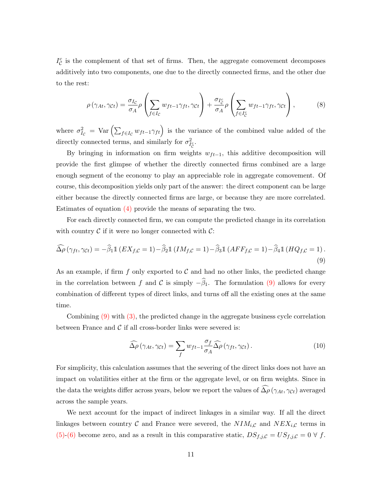$I_{\mathcal{C}}^{c}$  is the complement of that set of firms. Then, the aggregate comovement decomposes additively into two components, one due to the directly connected firms, and the other due to the rest:

<span id="page-12-2"></span>
$$
\rho\left(\gamma_{At}, \gamma_{Ct}\right) = \frac{\sigma_{I_C}}{\sigma_A} \rho \left(\sum_{f \in I_C} w_{ft-1} \gamma_{ft}, \gamma_{Ct}\right) + \frac{\sigma_{I_C^c}}{\sigma_A} \rho \left(\sum_{f \in I_C^c} w_{ft-1} \gamma_{ft}, \gamma_{Ct}\right),\tag{8}
$$

where  $\sigma_{I_c}^2 = \text{Var} \left( \sum_{f \in I_c} w_{ft-1} \gamma_{ft} \right)$  is the variance of the combined value added of the directly connected terms, and similarly for  $\sigma_{I_{\mathcal{C}}}^2$ .

By bringing in information on firm weights  $w_{ft-1}$ , this additive decomposition will provide the first glimpse of whether the directly connected firms combined are a large enough segment of the economy to play an appreciable role in aggregate comovement. Of course, this decomposition yields only part of the answer: the direct component can be large either because the directly connected firms are large, or because they are more correlated. Estimates of equation [\(4\)](#page-8-0) provide the means of separating the two.

For each directly connected firm, we can compute the predicted change in its correlation with country  $\mathcal C$  if it were no longer connected with  $\mathcal C$ :

<span id="page-12-0"></span>
$$
\widehat{\Delta \rho} \left( \gamma_{ft}, \gamma_{Ct} \right) = -\widehat{\beta}_1 \mathbb{1} \left( E X_{f,C} = 1 \right) - \widehat{\beta}_2 \mathbb{1} \left( I M_{f,C} = 1 \right) - \widehat{\beta}_3 \mathbb{1} \left( A F F_{f,C} = 1 \right) - \widehat{\beta}_4 \mathbb{1} \left( H Q_{f,C} = 1 \right). \tag{9}
$$

As an example, if firm f only exported to  $\mathcal C$  and had no other links, the predicted change in the correlation between f and C is simply  $-\hat{\beta}_1$ . The formulation [\(9\)](#page-12-0) allows for every combination of different types of direct links, and turns off all the existing ones at the same time.

Combining [\(9\)](#page-12-0) with [\(3\),](#page-7-2) the predicted change in the aggregate business cycle correlation between France and  $\mathcal C$  if all cross-border links were severed is:

<span id="page-12-1"></span>
$$
\widehat{\Delta \rho} \left( \gamma_{At}, \gamma_{Ct} \right) = \sum_{f} w_{ft-1} \frac{\sigma_f}{\sigma_A} \widehat{\Delta \rho} \left( \gamma_{ft}, \gamma_{Ct} \right). \tag{10}
$$

For simplicity, this calculation assumes that the severing of the direct links does not have an impact on volatilities either at the firm or the aggregate level, or on firm weights. Since in the data the weights differ across years, below we report the values of  $\widehat{\Delta\rho}(\gamma_{At}, \gamma_{Ct})$  averaged across the sample years.

We next account for the impact of indirect linkages in a similar way. If all the direct linkages between country C and France were severed, the  $NIM_{i,C}$  and  $NEX_{i,C}$  terms in [\(5\)-](#page-9-0)[\(6\)](#page-9-1) become zero, and as a result in this comparative static,  $DS_{f,j,C} = US_{f,j,C} = 0 \forall f$ .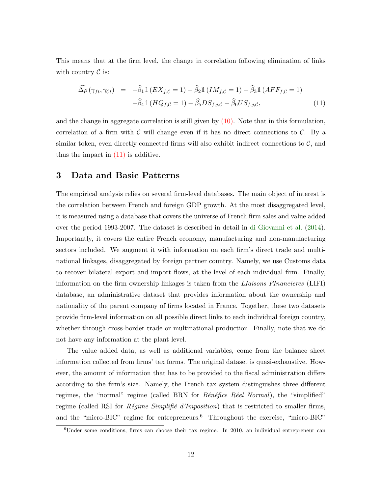This means that at the firm level, the change in correlation following elimination of links with country  $\mathcal C$  is:

<span id="page-13-1"></span>
$$
\widehat{\Delta \rho} \left( \gamma_{ft}, \gamma_{Ct} \right) = -\widehat{\beta}_1 \mathbb{1} \left( E X_{f,C} = 1 \right) - \widehat{\beta}_2 \mathbb{1} \left( I M_{f,C} = 1 \right) - \widehat{\beta}_3 \mathbb{1} \left( A F F_{f,C} = 1 \right) \n- \widehat{\beta}_4 \mathbb{1} \left( H Q_{f,C} = 1 \right) - \widehat{\beta}_5 DS_{f,j,C} - \widehat{\beta}_6 US_{f,j,C},
$$
\n(11)

and the change in aggregate correlation is still given by  $(10)$ . Note that in this formulation, correlation of a firm with  $\mathcal C$  will change even if it has no direct connections to  $\mathcal C$ . By a similar token, even directly connected firms will also exhibit indirect connections to  $C$ , and thus the impact in  $(11)$  is additive.

## <span id="page-13-0"></span>3 Data and Basic Patterns

The empirical analysis relies on several firm-level databases. The main object of interest is the correlation between French and foreign GDP growth. At the most disaggregated level, it is measured using a database that covers the universe of French firm sales and value added over the period 1993-2007. The dataset is described in detail in [di Giovanni et al.](#page-28-7) [\(2014\)](#page-28-7). Importantly, it covers the entire French economy, manufacturing and non-manufacturing sectors included. We augment it with information on each firm's direct trade and multinational linkages, disaggregated by foreign partner country. Namely, we use Customs data to recover bilateral export and import flows, at the level of each individual firm. Finally, information on the firm ownership linkages is taken from the *LIaisons FInancieres* (LIFI) database, an administrative dataset that provides information about the ownership and nationality of the parent company of firms located in France. Together, these two datasets provide firm-level information on all possible direct links to each individual foreign country, whether through cross-border trade or multinational production. Finally, note that we do not have any information at the plant level.

The value added data, as well as additional variables, come from the balance sheet information collected from firms' tax forms. The original dataset is quasi-exhaustive. However, the amount of information that has to be provided to the fiscal administration differs according to the firm's size. Namely, the French tax system distinguishes three different regimes, the "normal" regime (called BRN for  $B\acute{e}n\acute{e}fice$  R $\acute{e}el$  Normal), the "simplified" regime (called RSI for  $Régime Simplifié d'Imposition$ ) that is restricted to smaller firms, and the "micro-BIC" regime for entrepreneurs.<sup>6</sup> Throughout the exercise, "micro-BIC"

 $6$ Under some conditions, firms can choose their tax regime. In 2010, an individual entrepreneur can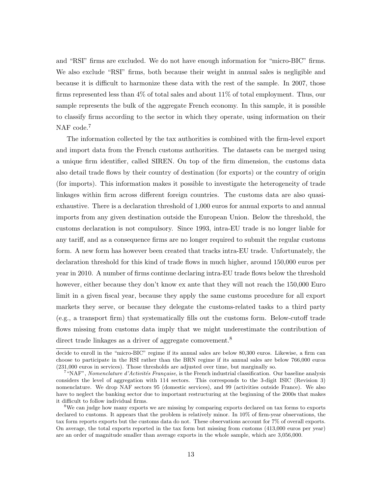and "RSI" firms are excluded. We do not have enough information for "micro-BIC" firms. We also exclude "RSI" firms, both because their weight in annual sales is negligible and because it is difficult to harmonize these data with the rest of the sample. In 2007, those firms represented less than 4% of total sales and about 11% of total employment. Thus, our sample represents the bulk of the aggregate French economy. In this sample, it is possible to classify firms according to the sector in which they operate, using information on their NAF code.<sup>7</sup>

The information collected by the tax authorities is combined with the firm-level export and import data from the French customs authorities. The datasets can be merged using a unique firm identifier, called SIREN. On top of the firm dimension, the customs data also detail trade flows by their country of destination (for exports) or the country of origin (for imports). This information makes it possible to investigate the heterogeneity of trade linkages within firm across different foreign countries. The customs data are also quasiexhaustive. There is a declaration threshold of 1,000 euros for annual exports to and annual imports from any given destination outside the European Union. Below the threshold, the customs declaration is not compulsory. Since 1993, intra-EU trade is no longer liable for any tariff, and as a consequence firms are no longer required to submit the regular customs form. A new form has however been created that tracks intra-EU trade. Unfortunately, the declaration threshold for this kind of trade flows in much higher, around 150,000 euros per year in 2010. A number of firms continue declaring intra-EU trade flows below the threshold however, either because they don't know ex ante that they will not reach the 150,000 Euro limit in a given fiscal year, because they apply the same customs procedure for all export markets they serve, or because they delegate the customs-related tasks to a third party (e.g., a transport firm) that systematically fills out the customs form. Below-cutoff trade flows missing from customs data imply that we might underestimate the contribution of direct trade linkages as a driver of aggregate comovement.<sup>8</sup>

decide to enroll in the "micro-BIC" regime if its annual sales are below 80,300 euros. Likewise, a firm can choose to participate in the RSI rather than the BRN regime if its annual sales are below 766,000 euros (231,000 euros in services). Those thresholds are adjusted over time, but marginally so.

<sup>&</sup>lt;sup>7</sup> "NAF", Nomenclature d'Activités Française, is the French industrial classification. Our baseline analysis considers the level of aggregation with 114 sectors. This corresponds to the 3-digit ISIC (Revision 3) nomenclature. We drop NAF sectors 95 (domestic services), and 99 (activities outside France). We also have to neglect the banking sector due to important restructuring at the beginning of the 2000s that makes it difficult to follow individual firms.

<sup>8</sup>We can judge how many exports we are missing by comparing exports declared on tax forms to exports declared to customs. It appears that the problem is relatively minor. In 10% of firm-year observations, the tax form reports exports but the customs data do not. These observations account for 7% of overall exports. On average, the total exports reported in the tax form but missing from customs (413,000 euros per year) are an order of magnitude smaller than average exports in the whole sample, which are 3,056,000.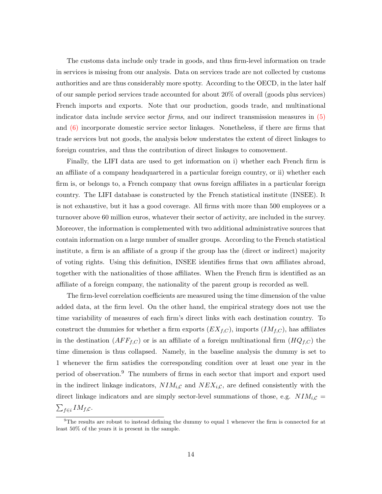The customs data include only trade in goods, and thus firm-level information on trade in services is missing from our analysis. Data on services trade are not collected by customs authorities and are thus considerably more spotty. According to the OECD, in the later half of our sample period services trade accounted for about 20% of overall (goods plus services) French imports and exports. Note that our production, goods trade, and multinational indicator data include service sector firms, and our indirect transmission measures in [\(5\)](#page-9-0) and [\(6\)](#page-9-1) incorporate domestic service sector linkages. Nonetheless, if there are firms that trade services but not goods, the analysis below understates the extent of direct linkages to foreign countries, and thus the contribution of direct linkages to comovement.

Finally, the LIFI data are used to get information on i) whether each French firm is an affiliate of a company headquartered in a particular foreign country, or ii) whether each firm is, or belongs to, a French company that owns foreign affiliates in a particular foreign country. The LIFI database is constructed by the French statistical institute (INSEE). It is not exhaustive, but it has a good coverage. All firms with more than 500 employees or a turnover above 60 million euros, whatever their sector of activity, are included in the survey. Moreover, the information is complemented with two additional administrative sources that contain information on a large number of smaller groups. According to the French statistical institute, a firm is an affiliate of a group if the group has the (direct or indirect) majority of voting rights. Using this definition, INSEE identifies firms that own affiliates abroad, together with the nationalities of those affiliates. When the French firm is identified as an affiliate of a foreign company, the nationality of the parent group is recorded as well.

The firm-level correlation coefficients are measured using the time dimension of the value added data, at the firm level. On the other hand, the empirical strategy does not use the time variability of measures of each firm's direct links with each destination country. To construct the dummies for whether a firm exports  $(EX_{f,C})$ , imports  $(IM_{f,C})$ , has affiliates in the destination  $(AFF_{f,C})$  or is an affiliate of a foreign multinational firm  $(HQ_{f,C})$  the time dimension is thus collapsed. Namely, in the baseline analysis the dummy is set to 1 whenever the firm satisfies the corresponding condition over at least one year in the period of observation.<sup>9</sup> The numbers of firms in each sector that import and export used in the indirect linkage indicators,  $NIM_{i,C}$  and  $NEX_{i,C}$ , are defined consistently with the direct linkage indicators and are simply sector-level summations of those, e.g.  $NIM_{i,\mathcal{C}} =$  $\sum_{f\in i}IM_{f,\mathcal{C}}$ .

 $9$ The results are robust to instead defining the dummy to equal 1 whenever the firm is connected for at least 50% of the years it is present in the sample.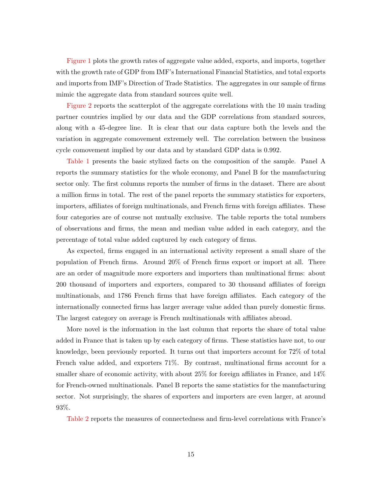[Figure 1](#page-39-0) plots the growth rates of aggregate value added, exports, and imports, together with the growth rate of GDP from IMF's International Financial Statistics, and total exports and imports from IMF's Direction of Trade Statistics. The aggregates in our sample of firms mimic the aggregate data from standard sources quite well.

[Figure 2](#page-40-0) reports the scatterplot of the aggregate correlations with the 10 main trading partner countries implied by our data and the GDP correlations from standard sources, along with a 45-degree line. It is clear that our data capture both the levels and the variation in aggregate comovement extremely well. The correlation between the business cycle comovement implied by our data and by standard GDP data is 0.992.

[Table 1](#page-29-0) presents the basic stylized facts on the composition of the sample. Panel A reports the summary statistics for the whole economy, and Panel B for the manufacturing sector only. The first columns reports the number of firms in the dataset. There are about a million firms in total. The rest of the panel reports the summary statistics for exporters, importers, affiliates of foreign multinationals, and French firms with foreign affiliates. These four categories are of course not mutually exclusive. The table reports the total numbers of observations and firms, the mean and median value added in each category, and the percentage of total value added captured by each category of firms.

As expected, firms engaged in an international activity represent a small share of the population of French firms. Around 20% of French firms export or import at all. There are an order of magnitude more exporters and importers than multinational firms: about 200 thousand of importers and exporters, compared to 30 thousand affiliates of foreign multinationals, and 1786 French firms that have foreign affiliates. Each category of the internationally connected firms has larger average value added than purely domestic firms. The largest category on average is French multinationals with affiliates abroad.

More novel is the information in the last column that reports the share of total value added in France that is taken up by each category of firms. These statistics have not, to our knowledge, been previously reported. It turns out that importers account for 72% of total French value added, and exporters 71%. By contrast, multinational firms account for a smaller share of economic activity, with about 25% for foreign affiliates in France, and 14% for French-owned multinationals. Panel B reports the same statistics for the manufacturing sector. Not surprisingly, the shares of exporters and importers are even larger, at around 93%.

[Table 2](#page-30-0) reports the measures of connectedness and firm-level correlations with France's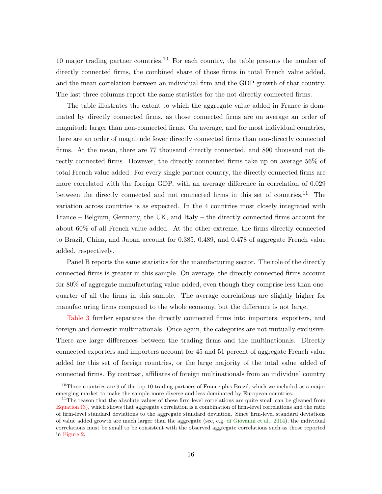10 major trading partner countries.<sup>10</sup> For each country, the table presents the number of directly connected firms, the combined share of those firms in total French value added, and the mean correlation between an individual firm and the GDP growth of that country. The last three columns report the same statistics for the not directly connected firms.

The table illustrates the extent to which the aggregate value added in France is dominated by directly connected firms, as those connected firms are on average an order of magnitude larger than non-connected firms. On average, and for most individual countries, there are an order of magnitude fewer directly connected firms than non-directly connected firms. At the mean, there are 77 thousand directly connected, and 890 thousand not directly connected firms. However, the directly connected firms take up on average 56% of total French value added. For every single partner country, the directly connected firms are more correlated with the foreign GDP, with an average difference in correlation of 0.029 between the directly connected and not connected firms in this set of countries.<sup>11</sup> The variation across countries is as expected. In the 4 countries most closely integrated with France – Belgium, Germany, the UK, and Italy – the directly connected firms account for about 60% of all French value added. At the other extreme, the firms directly connected to Brazil, China, and Japan account for 0.385, 0.489, and 0.478 of aggregate French value added, respectively.

Panel B reports the same statistics for the manufacturing sector. The role of the directly connected firms is greater in this sample. On average, the directly connected firms account for 80% of aggregate manufacturing value added, even though they comprise less than onequarter of all the firms in this sample. The average correlations are slightly higher for manufacturing firms compared to the whole economy, but the difference is not large.

[Table 3](#page-31-0) further separates the directly connected firms into importers, exporters, and foreign and domestic multinationals. Once again, the categories are not mutually exclusive. There are large differences between the trading firms and the multinationals. Directly connected exporters and importers account for 45 and 51 percent of aggregate French value added for this set of foreign countries, or the large majority of the total value added of connected firms. By contrast, affiliates of foreign multinationals from an individual country

 $10$ These countries are 9 of the top 10 trading partners of France plus Brazil, which we included as a major emerging market to make the sample more diverse and less dominated by European countries.

<sup>&</sup>lt;sup>11</sup>The reason that the absolute values of these firm-level correlations are quite small can be gleaned from [Equation \(3\),](#page-7-2) which shows that aggregate correlation is a combination of firm-level correlations and the ratio of firm-level standard deviations to the aggregate standard deviation. Since firm-level standard deviations of value added growth are much larger than the aggregate (see, e.g. [di Giovanni et al.,](#page-28-7) [2014\)](#page-28-7), the individual correlations must be small to be consistent with the observed aggregate correlations such as those reported in [Figure 2.](#page-40-0)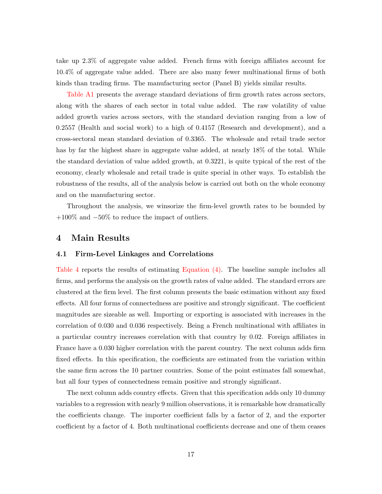take up 2.3% of aggregate value added. French firms with foreign affiliates account for 10.4% of aggregate value added. There are also many fewer multinational firms of both kinds than trading firms. The manufacturing sector (Panel B) yields similar results.

[Table A1](#page-41-0) presents the average standard deviations of firm growth rates across sectors, along with the shares of each sector in total value added. The raw volatility of value added growth varies across sectors, with the standard deviation ranging from a low of 0.2557 (Health and social work) to a high of 0.4157 (Research and development), and a cross-sectoral mean standard deviation of 0.3365. The wholesale and retail trade sector has by far the highest share in aggregate value added, at nearly 18% of the total. While the standard deviation of value added growth, at 0.3221, is quite typical of the rest of the economy, clearly wholesale and retail trade is quite special in other ways. To establish the robustness of the results, all of the analysis below is carried out both on the whole economy and on the manufacturing sector.

Throughout the analysis, we winsorize the firm-level growth rates to be bounded by +100% and −50% to reduce the impact of outliers.

### <span id="page-18-0"></span>4 Main Results

#### 4.1 Firm-Level Linkages and Correlations

[Table 4](#page-32-0) reports the results of estimating [Equation \(4\).](#page-8-0) The baseline sample includes all firms, and performs the analysis on the growth rates of value added. The standard errors are clustered at the firm level. The first column presents the basic estimation without any fixed effects. All four forms of connectedness are positive and strongly significant. The coefficient magnitudes are sizeable as well. Importing or exporting is associated with increases in the correlation of 0.030 and 0.036 respectively. Being a French multinational with affiliates in a particular country increases correlation with that country by 0.02. Foreign affiliates in France have a 0.030 higher correlation with the parent country. The next column adds firm fixed effects. In this specification, the coefficients are estimated from the variation within the same firm across the 10 partner countries. Some of the point estimates fall somewhat, but all four types of connectedness remain positive and strongly significant.

The next column adds country effects. Given that this specification adds only 10 dummy variables to a regression with nearly 9 million observations, it is remarkable how dramatically the coefficients change. The importer coefficient falls by a factor of 2, and the exporter coefficient by a factor of 4. Both multinational coefficients decrease and one of them ceases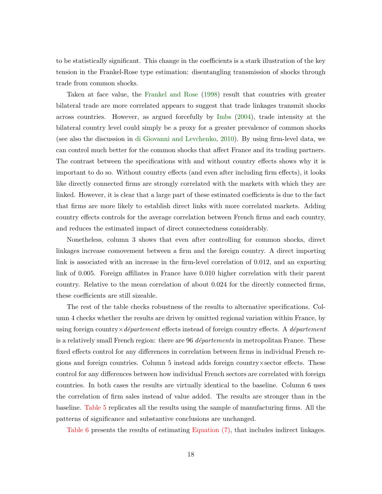to be statistically significant. This change in the coefficients is a stark illustration of the key tension in the Frankel-Rose type estimation: disentangling transmission of shocks through trade from common shocks.

Taken at face value, the [Frankel and Rose](#page-28-0) [\(1998\)](#page-28-0) result that countries with greater bilateral trade are more correlated appears to suggest that trade linkages transmit shocks across countries. However, as argued forcefully by [Imbs](#page-28-2) [\(2004\)](#page-28-2), trade intensity at the bilateral country level could simply be a proxy for a greater prevalence of common shocks (see also the discussion in [di Giovanni and Levchenko,](#page-27-10) [2010\)](#page-27-10). By using firm-level data, we can control much better for the common shocks that affect France and its trading partners. The contrast between the specifications with and without country effects shows why it is important to do so. Without country effects (and even after including firm effects), it looks like directly connected firms are strongly correlated with the markets with which they are linked. However, it is clear that a large part of these estimated coefficients is due to the fact that firms are more likely to establish direct links with more correlated markets. Adding country effects controls for the average correlation between French firms and each country, and reduces the estimated impact of direct connectedness considerably.

Nonetheless, column 3 shows that even after controlling for common shocks, direct linkages increase comovement between a firm and the foreign country. A direct importing link is associated with an increase in the firm-level correlation of 0.012, and an exporting link of 0.005. Foreign affiliates in France have 0.010 higher correlation with their parent country. Relative to the mean correlation of about 0.024 for the directly connected firms, these coefficients are still sizeable.

The rest of the table checks robustness of the results to alternative specifications. Column 4 checks whether the results are driven by omitted regional variation within France, by using foreign country  $\times$  département effects instead of foreign country effects. A département is a relatively small French region: there are 96 *départements* in metropolitan France. These fixed effects control for any differences in correlation between firms in individual French regions and foreign countries. Column 5 instead adds foreign country×sector effects. These control for any differences between how individual French sectors are correlated with foreign countries. In both cases the results are virtually identical to the baseline. Column 6 uses the correlation of firm sales instead of value added. The results are stronger than in the baseline. [Table 5](#page-33-0) replicates all the results using the sample of manufacturing firms. All the patterns of significance and substantive conclusions are unchanged.

[Table 6](#page-34-0) presents the results of estimating [Equation \(7\),](#page-11-0) that includes indirect linkages.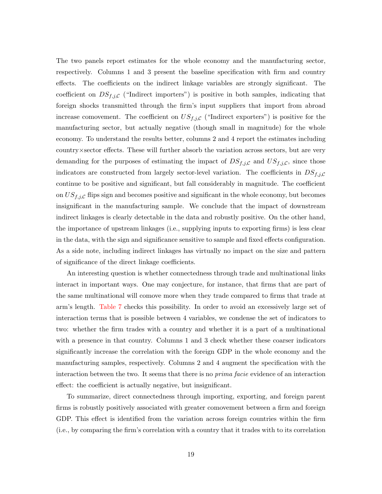The two panels report estimates for the whole economy and the manufacturing sector, respectively. Columns 1 and 3 present the baseline specification with firm and country effects. The coefficients on the indirect linkage variables are strongly significant. The coefficient on  $DS_{f,j,C}$  ("Indirect importers") is positive in both samples, indicating that foreign shocks transmitted through the firm's input suppliers that import from abroad increase comovement. The coefficient on  $US_{f,j,C}$  ("Indirect exporters") is positive for the manufacturing sector, but actually negative (though small in magnitude) for the whole economy. To understand the results better, columns 2 and 4 report the estimates including country×sector effects. These will further absorb the variation across sectors, but are very demanding for the purposes of estimating the impact of  $DS_{f,j,C}$  and  $US_{f,j,C}$ , since those indicators are constructed from largely sector-level variation. The coefficients in  $DS_{f,j,C}$ continue to be positive and significant, but fall considerably in magnitude. The coefficient on  $US_{f,j,\mathcal{C}}$  flips sign and becomes positive and significant in the whole economy, but becomes insignificant in the manufacturing sample. We conclude that the impact of downstream indirect linkages is clearly detectable in the data and robustly positive. On the other hand, the importance of upstream linkages (i.e., supplying inputs to exporting firms) is less clear in the data, with the sign and significance sensitive to sample and fixed effects configuration. As a side note, including indirect linkages has virtually no impact on the size and pattern of significance of the direct linkage coefficients.

An interesting question is whether connectedness through trade and multinational links interact in important ways. One may conjecture, for instance, that firms that are part of the same multinational will comove more when they trade compared to firms that trade at arm's length. [Table 7](#page-35-0) checks this possibility. In order to avoid an excessively large set of interaction terms that is possible between 4 variables, we condense the set of indicators to two: whether the firm trades with a country and whether it is a part of a multinational with a presence in that country. Columns 1 and 3 check whether these coarser indicators significantly increase the correlation with the foreign GDP in the whole economy and the manufacturing samples, respectively. Columns 2 and 4 augment the specification with the interaction between the two. It seems that there is no prima facie evidence of an interaction effect: the coefficient is actually negative, but insignificant.

To summarize, direct connectedness through importing, exporting, and foreign parent firms is robustly positively associated with greater comovement between a firm and foreign GDP. This effect is identified from the variation across foreign countries within the firm (i.e., by comparing the firm's correlation with a country that it trades with to its correlation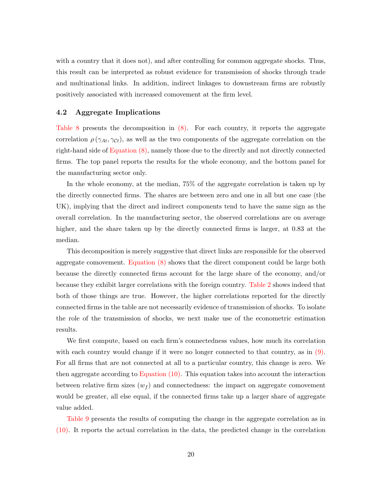with a country that it does not), and after controlling for common aggregate shocks. Thus, this result can be interpreted as robust evidence for transmission of shocks through trade and multinational links. In addition, indirect linkages to downstream firms are robustly positively associated with increased comovement at the firm level.

#### 4.2 Aggregate Implications

[Table 8](#page-36-0) presents the decomposition in [\(8\).](#page-12-2) For each country, it reports the aggregate correlation  $\rho(\gamma_{At}, \gamma_{Ct})$ , as well as the two components of the aggregate correlation on the right-hand side of [Equation \(8\),](#page-12-2) namely those due to the directly and not directly connected firms. The top panel reports the results for the whole economy, and the bottom panel for the manufacturing sector only.

In the whole economy, at the median, 75% of the aggregate correlation is taken up by the directly connected firms. The shares are between zero and one in all but one case (the UK), implying that the direct and indirect components tend to have the same sign as the overall correlation. In the manufacturing sector, the observed correlations are on average higher, and the share taken up by the directly connected firms is larger, at 0.83 at the median.

This decomposition is merely suggestive that direct links are responsible for the observed aggregate comovement. [Equation \(8\)](#page-12-2) shows that the direct component could be large both because the directly connected firms account for the large share of the economy, and/or because they exhibit larger correlations with the foreign country. [Table 2](#page-30-0) shows indeed that both of those things are true. However, the higher correlations reported for the directly connected firms in the table are not necessarily evidence of transmission of shocks. To isolate the role of the transmission of shocks, we next make use of the econometric estimation results.

We first compute, based on each firm's connectedness values, how much its correlation with each country would change if it were no longer connected to that country, as in [\(9\).](#page-12-0) For all firms that are not connected at all to a particular country, this change is zero. We then aggregate according to [Equation \(10\).](#page-12-1) This equation takes into account the interaction between relative firm sizes  $(w_f)$  and connectedness: the impact on aggregate comovement would be greater, all else equal, if the connected firms take up a larger share of aggregate value added.

[Table 9](#page-37-0) presents the results of computing the change in the aggregate correlation as in [\(10\).](#page-12-1) It reports the actual correlation in the data, the predicted change in the correlation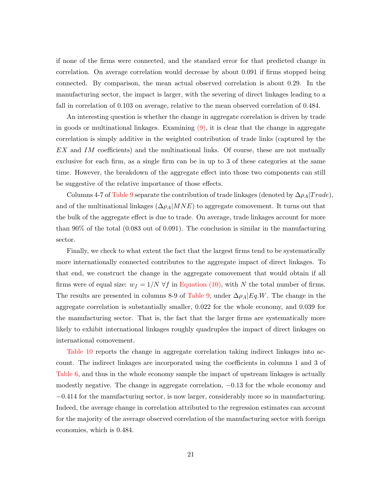if none of the firms were connected, and the standard error for that predicted change in correlation. On average correlation would decrease by about 0.091 if firms stopped being connected. By comparison, the mean actual observed correlation is about 0.29. In the manufacturing sector, the impact is larger, with the severing of direct linkages leading to a fall in correlation of 0.103 on average, relative to the mean observed correlation of 0.484.

An interesting question is whether the change in aggregate correlation is driven by trade in goods or multinational linkages. Examining  $(9)$ , it is clear that the change in aggregate correlation is simply additive in the weighted contribution of trade links (captured by the EX and IM coefficients) and the multinational links. Of course, these are not mutually exclusive for each firm, as a single firm can be in up to 3 of these categories at the same time. However, the breakdown of the aggregate effect into those two components can still be suggestive of the relative importance of those effects.

Columns 4-7 of [Table 9](#page-37-0) separate the contribution of trade linkages (denoted by  $\Delta \rho_A | Trade\rangle$ ), and of the multinational linkages  $(\Delta \rho_A|MNE)$  to aggregate comovement. It turns out that the bulk of the aggregate effect is due to trade. On average, trade linkages account for more than 90% of the total (0.083 out of 0.091). The conclusion is similar in the manufacturing sector.

Finally, we check to what extent the fact that the largest firms tend to be systematically more internationally connected contributes to the aggregate impact of direct linkages. To that end, we construct the change in the aggregate comovement that would obtain if all firms were of equal size:  $w_f = 1/N \forall f$  in [Equation \(10\),](#page-12-1) with N the total number of firms. The results are presented in columns 8-9 of [Table 9,](#page-37-0) under  $\Delta \rho_A |Eq.W.$  The change in the aggregate correlation is substantially smaller, 0.022 for the whole economy, and 0.039 for the manufacturing sector. That is, the fact that the larger firms are systematically more likely to exhibit international linkages roughly quadruples the impact of direct linkages on international comovement.

[Table 10](#page-38-0) reports the change in aggregate correlation taking indirect linkages into account. The indirect linkages are incorporated using the coefficients in columns 1 and 3 of [Table 6,](#page-34-0) and thus in the whole economy sample the impact of upstream linkages is actually modestly negative. The change in aggregate correlation, −0.13 for the whole economy and −0.414 for the manufacturing sector, is now larger, considerably more so in manufacturing. Indeed, the average change in correlation attributed to the regression estimates can account for the majority of the average observed correlation of the manufacturing sector with foreign economies, which is 0.484.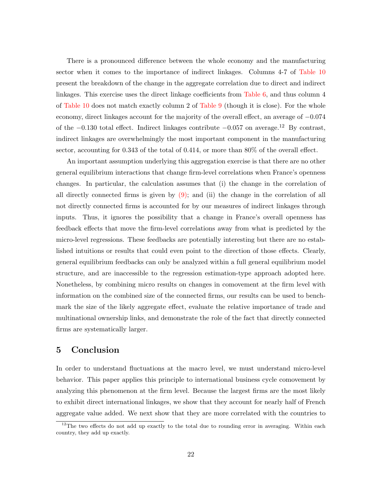There is a pronounced difference between the whole economy and the manufacturing sector when it comes to the importance of indirect linkages. Columns 4-7 of [Table 10](#page-38-0) present the breakdown of the change in the aggregate correlation due to direct and indirect linkages. This exercise uses the direct linkage coefficients from [Table 6,](#page-34-0) and thus column 4 of [Table 10](#page-38-0) does not match exactly column 2 of [Table 9](#page-37-0) (though it is close). For the whole economy, direct linkages account for the majority of the overall effect, an average of −0.074 of the  $-0.130$  total effect. Indirect linkages contribute  $-0.057$  on average.<sup>12</sup> By contrast, indirect linkages are overwhelmingly the most important component in the manufacturing sector, accounting for 0.343 of the total of 0.414, or more than 80% of the overall effect.

An important assumption underlying this aggregation exercise is that there are no other general equilibrium interactions that change firm-level correlations when France's openness changes. In particular, the calculation assumes that (i) the change in the correlation of all directly connected firms is given by  $(9)$ ; and (ii) the change in the correlation of all not directly connected firms is accounted for by our measures of indirect linkages through inputs. Thus, it ignores the possibility that a change in France's overall openness has feedback effects that move the firm-level correlations away from what is predicted by the micro-level regressions. These feedbacks are potentially interesting but there are no established intuitions or results that could even point to the direction of those effects. Clearly, general equilibrium feedbacks can only be analyzed within a full general equilibrium model structure, and are inaccessible to the regression estimation-type approach adopted here. Nonetheless, by combining micro results on changes in comovement at the firm level with information on the combined size of the connected firms, our results can be used to benchmark the size of the likely aggregate effect, evaluate the relative importance of trade and multinational ownership links, and demonstrate the role of the fact that directly connected firms are systematically larger.

## <span id="page-23-0"></span>5 Conclusion

In order to understand fluctuations at the macro level, we must understand micro-level behavior. This paper applies this principle to international business cycle comovement by analyzing this phenomenon at the firm level. Because the largest firms are the most likely to exhibit direct international linkages, we show that they account for nearly half of French aggregate value added. We next show that they are more correlated with the countries to

<sup>&</sup>lt;sup>12</sup>The two effects do not add up exactly to the total due to rounding error in averaging. Within each country, they add up exactly.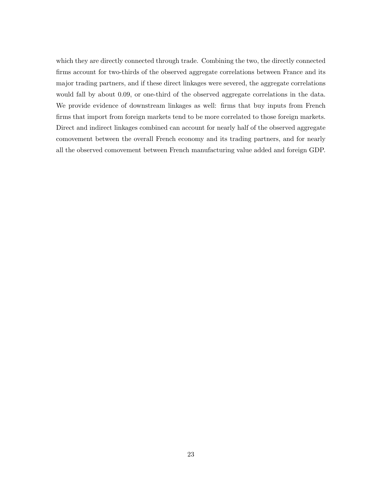which they are directly connected through trade. Combining the two, the directly connected firms account for two-thirds of the observed aggregate correlations between France and its major trading partners, and if these direct linkages were severed, the aggregate correlations would fall by about 0.09, or one-third of the observed aggregate correlations in the data. We provide evidence of downstream linkages as well: firms that buy inputs from French firms that import from foreign markets tend to be more correlated to those foreign markets. Direct and indirect linkages combined can account for nearly half of the observed aggregate comovement between the overall French economy and its trading partners, and for nearly all the observed comovement between French manufacturing value added and foreign GDP.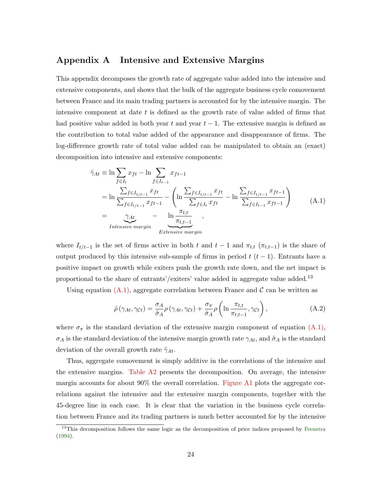## <span id="page-25-0"></span>Appendix A Intensive and Extensive Margins

This appendix decomposes the growth rate of aggregate value added into the intensive and extensive components, and shows that the bulk of the aggregate business cycle comovement between France and its main trading partners is accounted for by the intensive margin. The intensive component at date  $t$  is defined as the growth rate of value added of firms that had positive value added in both year t and year  $t-1$ . The extensive margin is defined as the contribution to total value added of the appearance and disappearance of firms. The log-difference growth rate of total value added can be manipulated to obtain an (exact) decomposition into intensive and extensive components:

<span id="page-25-1"></span>
$$
\tilde{\gamma}_{At} \equiv \ln \sum_{f \in I_t} x_{ft} - \ln \sum_{f \in I_{t-1}} x_{ft-1}
$$
\n
$$
= \ln \frac{\sum_{f \in I_{t/1-1}} x_{ft}}{\sum_{f \in I_{t/1-1}} x_{ft-1}} - \left( \ln \frac{\sum_{f \in I_{t/1-1}} x_{ft}}{\sum_{f \in I_t} x_{ft}} - \ln \frac{\sum_{f \in I_{t/1-1}} x_{ft-1}}{\sum_{f \in I_{t-1}} x_{ft-1}} \right)
$$
\n
$$
= \underbrace{\gamma_{At}}_{Intensive\ margin} - \underbrace{\ln \frac{\pi_{t,t}}{\pi_{t,t-1}}}{Extensive\ margin}, \qquad (A.1)
$$

where  $I_{t/t-1}$  is the set of firms active in both t and  $t-1$  and  $\pi_{t,t}$  ( $\pi_{t,t-1}$ ) is the share of output produced by this intensive sub-sample of firms in period  $t$  ( $t-1$ ). Entrants have a positive impact on growth while exiters push the growth rate down, and the net impact is proportional to the share of entrants'/exiters' value added in aggregate value added.<sup>13</sup>

Using equation  $(A.1)$ , aggregate correlation between France and C can be written as

$$
\tilde{\rho}\left(\gamma_{At}, \gamma_{Ct}\right) = \frac{\sigma_A}{\tilde{\sigma}_A} \rho\left(\gamma_{At}, \gamma_{Ct}\right) + \frac{\sigma_\pi}{\tilde{\sigma}_A} \rho\left(\ln \frac{\pi_{t,t}}{\pi_{t,t-1}}, \gamma_{Ct}\right),\tag{A.2}
$$

where  $\sigma_{\pi}$  is the standard deviation of the extensive margin component of equation  $(A.1)$ ,  $\sigma_A$  is the standard deviation of the intensive margin growth rate  $\gamma_{At}$ , and  $\tilde{\sigma}_A$  is the standard deviation of the overall growth rate  $\tilde{\gamma}_{At}$ .

Thus, aggregate comovement is simply additive in the correlations of the intensive and the extensive margins. [Table A2](#page-42-0) presents the decomposition. On average, the intensive margin accounts for about 90% the overall correlation. [Figure A1](#page-43-0) plots the aggregate correlations against the intensive and the extensive margin components, together with the 45-degree line in each case. It is clear that the variation in the business cycle correlation between France and its trading partners is much better accounted for by the intensive

<sup>&</sup>lt;sup>13</sup>This decomposition follows the same logic as the decomposition of price indices proposed by [Feenstra](#page-28-11) [\(1994\)](#page-28-11).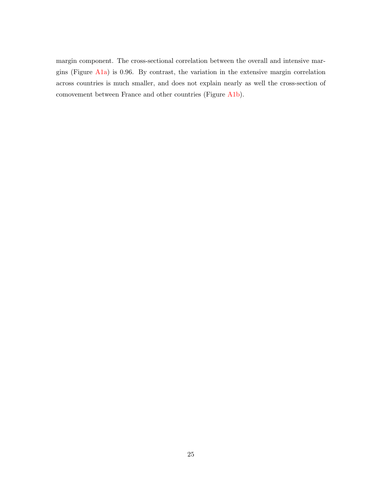margin component. The cross-sectional correlation between the overall and intensive margins (Figure [A1a\)](#page-43-1) is 0.96. By contrast, the variation in the extensive margin correlation across countries is much smaller, and does not explain nearly as well the cross-section of comovement between France and other countries (Figure [A1b\)](#page-43-2).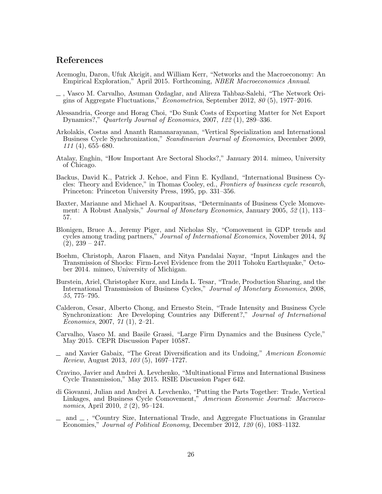## References

- <span id="page-27-6"></span>Acemoglu, Daron, Ufuk Akcigit, and William Kerr, "Networks and the Macroeconomy: An Empirical Exploration," April 2015. Forthcoming, NBER Macroeconomics Annual.
- <span id="page-27-3"></span>, Vasco M. Carvalho, Asuman Ozdaglar, and Alireza Tahbaz-Salehi, "The Network Origins of Aggregate Fluctuations," Econometrica, September 2012, 80 (5), 1977–2016.
- <span id="page-27-15"></span>Alessandria, George and Horag Choi, "Do Sunk Costs of Exporting Matter for Net Export Dynamics?," Quarterly Journal of Economics, 2007, 122 (1), 289–336.
- <span id="page-27-14"></span>Arkolakis, Costas and Ananth Ramanarayanan, "Vertical Specialization and International Business Cycle Synchronization," Scandinavian Journal of Economics, December 2009,  $111(4)$ , 655–680.
- <span id="page-27-5"></span>Atalay, Enghin, "How Important Are Sectoral Shocks?," January 2014. mimeo, University of Chicago.
- <span id="page-27-12"></span>Backus, David K., Patrick J. Kehoe, and Finn E. Kydland, "International Business Cycles: Theory and Evidence," in Thomas Cooley, ed., Frontiers of business cycle research, Princeton: Princeton University Press, 1995, pp. 331–356.
- <span id="page-27-7"></span>Baxter, Marianne and Michael A. Kouparitsas, "Determinants of Business Cycle Momovement: A Robust Analysis," Journal of Monetary Economics, January 2005, 52 (1), 113– 57.
- <span id="page-27-9"></span>Blonigen, Bruce A., Jeremy Piger, and Nicholas Sly, "Comovement in GDP trends and cycles among trading partners," Journal of International Economics, November 2014, 94  $(2), 239 - 247.$
- <span id="page-27-11"></span>Boehm, Christoph, Aaron Flaaen, and Nitya Pandalai Nayar, "Input Linkages and the Transmission of Shocks: Firm-Level Evidence from the 2011 Tohoku Earthquake," October 2014. mimeo, University of Michigan.
- <span id="page-27-13"></span>Burstein, Ariel, Christopher Kurz, and Linda L. Tesar, "Trade, Production Sharing, and the International Transmission of Business Cycles," Journal of Monetary Economics, 2008, 55, 775–795.
- <span id="page-27-8"></span>Calderon, Cesar, Alberto Chong, and Ernesto Stein, "Trade Intensity and Business Cycle Synchronization: Are Developing Countries any Different?," Journal of International Economics, 2007, 71 (1), 2–21.
- <span id="page-27-2"></span>Carvalho, Vasco M. and Basile Grassi, "Large Firm Dynamics and the Business Cycle," May 2015. CEPR Discussion Paper 10587.
- <span id="page-27-4"></span>and Xavier Gabaix, "The Great Diversification and its Undoing," American Economic Review, August 2013, 103 (5), 1697–1727.
- <span id="page-27-0"></span>Cravino, Javier and Andrei A. Levchenko, "Multinational Firms and International Business Cycle Transmission," May 2015. RSIE Discussion Paper 642.
- <span id="page-27-10"></span>di Giovanni, Julian and Andrei A. Levchenko, "Putting the Parts Together: Trade, Vertical Linkages, and Business Cycle Comovement," American Economic Journal: Macroeconomics, April 2010, 2 (2), 95–124.
- <span id="page-27-1"></span> $\Box$  and  $\Box$ , "Country Size, International Trade, and Aggregate Fluctuations in Granular Economies," Journal of Political Economy, December 2012, 120 (6), 1083–1132.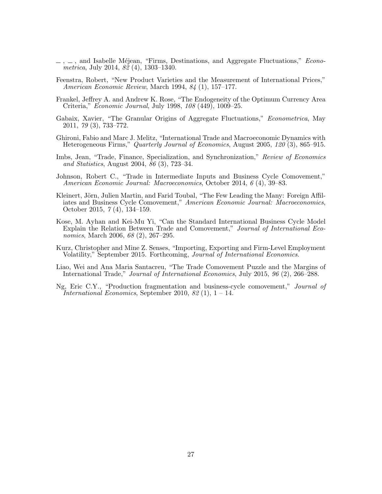- <span id="page-28-7"></span> $\ldots$ ,  $\ldots$ , and Isabelle Méjean, "Firms, Destinations, and Aggregate Fluctuations," *Econo*metrica, July 2014, 82 (4), 1303–1340.
- <span id="page-28-11"></span>Feenstra, Robert, "New Product Varieties and the Measurement of International Prices," American Economic Review, March 1994, 84 (1), 157–177.
- <span id="page-28-0"></span>Frankel, Jeffrey A. and Andrew K. Rose, "The Endogeneity of the Optimum Currency Area Criteria," Economic Journal, July 1998, 108 (449), 1009–25.
- <span id="page-28-6"></span>Gabaix, Xavier, "The Granular Origins of Aggregate Fluctuations," Econometrica, May 2011, 79 (3), 733–772.
- <span id="page-28-10"></span>Ghironi, Fabio and Marc J. Melitz, "International Trade and Macroeconomic Dynamics with Heterogeneous Firms," Quarterly Journal of Economics, August 2005, 120 (3), 865–915.
- <span id="page-28-2"></span>Imbs, Jean, "Trade, Finance, Specialization, and Synchronization," Review of Economics and Statistics, August 2004, 86 (3), 723–34.
- <span id="page-28-4"></span>Johnson, Robert C., "Trade in Intermediate Inputs and Business Cycle Comovement," American Economic Journal: Macroeconomics, October 2014, 6 (4), 39–83.
- <span id="page-28-1"></span>Kleinert, Jörn, Julien Martin, and Farid Toubal, "The Few Leading the Many: Foreign Affiliates and Business Cycle Comovement," American Economic Journal: Macroeconomics, October 2015, 7 (4), 134–159.
- <span id="page-28-3"></span>Kose, M. Ayhan and Kei-Mu Yi, "Can the Standard International Business Cycle Model Explain the Relation Between Trade and Comovement," Journal of International Economics, March 2006, 68 (2), 267–295.
- <span id="page-28-9"></span>Kurz, Christopher and Mine Z. Senses, "Importing, Exporting and Firm-Level Employment Volatility," September 2015. Forthcoming, Journal of International Economics.
- <span id="page-28-5"></span>Liao, Wei and Ana Maria Santacreu, "The Trade Comovement Puzzle and the Margins of International Trade," Journal of International Economics, July 2015, 96 (2), 266–288.
- <span id="page-28-8"></span>Ng, Eric C.Y., "Production fragmentation and business-cycle comovement," Journal of International Economics, September 2010, 82 $(1)$ , 1 – 14.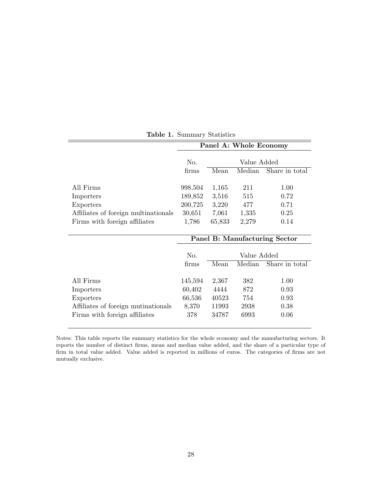<span id="page-29-0"></span>

|                                      |         |        | Panel A: Whole Economy |                |
|--------------------------------------|---------|--------|------------------------|----------------|
|                                      | No.     |        | Value Added            |                |
|                                      | firms   | Mean   | Median                 | Share in total |
|                                      |         |        |                        |                |
| All Firms                            | 998,504 | 1,165  | 211                    | 1.00           |
| Importers                            | 189,852 | 3,516  | 515                    | 0.72           |
| Exporters                            | 200,725 | 3,220  | 477                    | 0.71           |
| Affiliates of foreign multinationals | 30,651  | 7,061  | 1,335                  | 0.25           |
| Firms with foreign affiliates        | 1,786   | 65,833 | 2,279                  | 0.14           |
|                                      |         |        |                        |                |

Table 1. Summary Statistics

|                                     |         |       |             | Panel B: Manufacturing Sector |
|-------------------------------------|---------|-------|-------------|-------------------------------|
|                                     | No.     |       | Value Added |                               |
|                                     | firms   | Mean  | Median      | Share in total                |
| All Firms                           | 145,594 | 2,367 | 382         | 1.00                          |
| Importers                           | 60,402  | 4444  | 872         | 0.93                          |
| Exporters                           | 66,536  | 40523 | 754         | 0.93                          |
| Affiliates of foreign mutinationals | 8,370   | 11993 | 2938        | 0.38                          |
| Firms with foreign affiliates       | 378     | 34787 | 6993        | 0.06                          |
|                                     |         |       |             |                               |

Notes: This table reports the summary statistics for the whole economy and the manufacturing sectors. It reports the number of distinct firms, mean and median value added, and the share of a particular type of firm in total value added. Value added is reported in millions of euros. The categories of firms are not mutually exclusive.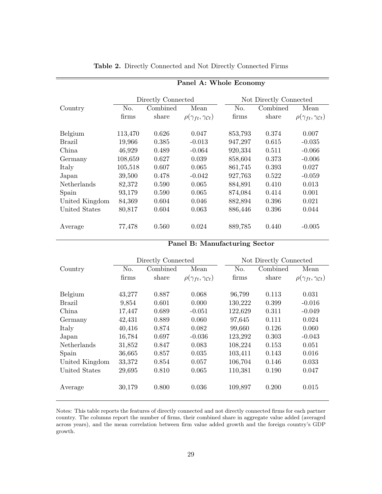<span id="page-30-0"></span>

|                    |         |                    | Panel A: Whole Economy                     |         |                        |                                            |
|--------------------|---------|--------------------|--------------------------------------------|---------|------------------------|--------------------------------------------|
|                    |         | Directly Connected |                                            |         | Not Directly Connected |                                            |
| Country            | No.     | Combined           | Mean                                       | No.     | Combined               | Mean                                       |
|                    | firms   | share              | $\rho(\gamma_{ft}, \gamma_{\mathcal{C}t})$ | firms   | share                  | $\rho(\gamma_{ft}, \gamma_{\mathcal{C}t})$ |
| Belgium            | 113,470 | 0.626              | 0.047                                      | 853,793 | 0.374                  | 0.007                                      |
| <b>Brazil</b>      | 19,966  | 0.385              | $-0.013$                                   | 947,297 | 0.615                  | $-0.035$                                   |
| China              | 46,929  | 0.489              | $-0.064$                                   | 920,334 | 0.511                  | $-0.066$                                   |
| Germany            | 108,659 | 0.627              | 0.039                                      | 858,604 | 0.373                  | $-0.006$                                   |
| Italy              | 105,518 | 0.607              | 0.065                                      | 861,745 | 0.393                  | 0.027                                      |
| Japan              | 39,500  | 0.478              | $-0.042$                                   | 927,763 | 0.522                  | $-0.059$                                   |
| <b>Netherlands</b> | 82,372  | 0.590              | 0.065                                      | 884,891 | 0.410                  | 0.013                                      |
| Spain              | 93,179  | 0.590              | 0.065                                      | 874,084 | 0.414                  | 0.001                                      |
| United Kingdom     | 84,369  | 0.604              | 0.046                                      | 882,894 | 0.396                  | 0.021                                      |
| United States      | 80,817  | 0.604              | 0.063                                      | 886,446 | 0.396                  | 0.044                                      |
| Average            | 77,478  | 0.560              | 0.024                                      | 889,785 | 0.440                  | $-0.005$                                   |

#### Table 2. Directly Connected and Not Directly Connected Firms

Panel B: Manufacturing Sector

|                    |        | Directly Connected |                                            |                | Not Directly Connected |                                            |
|--------------------|--------|--------------------|--------------------------------------------|----------------|------------------------|--------------------------------------------|
| Country            | No.    | Combined           | Mean                                       | N <sub>o</sub> | Combined               | Mean                                       |
|                    | firms  | share              | $\rho(\gamma_{ft}, \gamma_{\mathcal{C}t})$ | firms          | share                  | $\rho(\gamma_{ft}, \gamma_{\mathcal{C}t})$ |
| Belgium            | 43,277 | 0.887              | 0.068                                      | 96,799         | 0.113                  | 0.031                                      |
| Brazil             | 9,854  | 0.601              | 0.000                                      | 130,222        | 0.399                  | $-0.016$                                   |
| China              | 17,447 | 0.689              | $-0.051$                                   | 122,629        | 0.311                  | $-0.049$                                   |
| Germany            | 42,431 | 0.889              | 0.060                                      | 97,645         | 0.111                  | 0.024                                      |
| Italy              | 40,416 | 0.874              | 0.082                                      | 99,660         | 0.126                  | 0.060                                      |
| Japan              | 16,784 | 0.697              | $-0.036$                                   | 123,292        | 0.303                  | $-0.043$                                   |
| <b>Netherlands</b> | 31,852 | 0.847              | 0.083                                      | 108,224        | 0.153                  | 0.051                                      |
| Spain              | 36,665 | 0.857              | 0.035                                      | 103,411        | 0.143                  | 0.016                                      |
| United Kingdom     | 33,372 | 0.854              | 0.057                                      | 106,704        | 0.146                  | 0.033                                      |
| United States      | 29,695 | 0.810              | 0.065                                      | 110,381        | 0.190                  | 0.047                                      |
| Average            | 30,179 | 0.800              | 0.036                                      | 109,897        | 0.200                  | 0.015                                      |

Notes: This table reports the features of directly connected and not directly connected firms for each partner country. The columns report the number of firms, their combined share in aggregate value added (averaged across years), and the mean correlation between firm value added growth and the foreign country's GDP growth.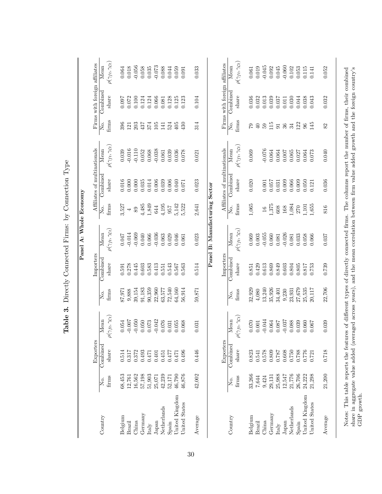|                                                                                                                                                           |                   |           |                                   |        |           | Panel A: Whole Economy          |                          |                              |                                 |                 |                               |                                 |
|-----------------------------------------------------------------------------------------------------------------------------------------------------------|-------------------|-----------|-----------------------------------|--------|-----------|---------------------------------|--------------------------|------------------------------|---------------------------------|-----------------|-------------------------------|---------------------------------|
|                                                                                                                                                           |                   | Exporters |                                   |        | Importers |                                 |                          | Affiliates of multinationals |                                 |                 | Firms with foreign affiliates |                                 |
| Country                                                                                                                                                   | Σó.               | Combined  | Mean                              | Σó.    | Combinec  | Mean                            | ,<br>Ž                   | Combinec                     | Mean                            | Σ.              | Combined                      | Mean                            |
|                                                                                                                                                           | firms             | share     | $(\gamma_{ft},\gamma_{Ct})$<br>P  | firms  | share     | $o(\gamma_{ft}, \gamma_{Ct})$   | firms                    | $_{\text{share}}$            | $\rho(\gamma_{ft},\gamma_{Ct})$ | firms           | share                         | $o(\gamma_{ft},\gamma_{Ct})$    |
| Belgium                                                                                                                                                   | 68,453            | 0.514     | 0.054                             | 87,971 | 0.591     | $0.047\,$                       | 3,527                    | 0.016                        | 0.039                           | 396             | 160.0                         | 0.064                           |
| Brazil                                                                                                                                                    | 12,761            | 0.317     | $-0.007$                          | 9,888  | 0.278     | $-0.014$                        | $\overline{\phantom{0}}$ | 0.000                        | $-0.016$                        | 121             | 0.072                         | 0.018                           |
| China                                                                                                                                                     | 16,562            | 0.372     | $-0.050$                          | 39,154 | 0.445     | $-0.069$                        | $\,89$                   | 0.000                        | $-0.110$                        | 203             | 0.100                         | $-0.056$                        |
| Germany                                                                                                                                                   | 57,198            | 0.493     | 0.050                             | 91,183 | 0.603     | 0.040                           | 4,485                    | 0.035                        | 0.052                           | 437             | 0.124                         | $0.058\,$                       |
| Italy                                                                                                                                                     | 51,903            | 0.471     | 0.073                             | 90,359 | 0.583     | 0.066                           | 1,849                    | 0.014                        | 0.068                           | 374             | 0.124                         | 0.035                           |
| Japan                                                                                                                                                     | 25,071            | 0.401     | $-0.042$                          | 22,960 | 0.413     | $-0.036$                        | 644                      | 0.006                        | $-0.038$                        | 105             | 0.066                         | $-0.073$                        |
| Netherlands                                                                                                                                               | 42,239            | 0.451     | $0.076\,$                         | 63,577 | 0.551     | 0.063                           | 4,195                    | 0.039                        | 0.061                           | 141             | 0.081                         | 0.088                           |
| Spain                                                                                                                                                     | 52,171            | 0.477     | $\!0.031$                         | 72,540 | 0.543     | 0.029                           | 957                      | 0.006                        | 0.039                           | 524             | 0.128                         | 0.044                           |
| United Kingdom                                                                                                                                            | 46,790            | 0.471     | 0.055                             | 64,160 | 0.567     | 0.046                           | 5,142                    | 0.040                        | 0.036                           | 405             | 0.125                         | 0.059                           |
| United States                                                                                                                                             | 46,876            | 0.496     | 0.068                             | 56,914 | 0.563     | 0.061                           | 5,522                    | 0.071                        | 0.078                           | $\overline{30}$ | 0.123                         | 0.091                           |
| Average                                                                                                                                                   | 42,002            | 0.446     | 0.031                             | 59,871 | 0.514     | 0.023                           | 2,641                    | 0.023                        | 0.021                           | 314             | 0.104                         | 0.033                           |
|                                                                                                                                                           |                   |           |                                   |        |           | Panel B: Manufacturing Sector   |                          |                              |                                 |                 |                               |                                 |
|                                                                                                                                                           |                   | Exporters |                                   |        | Importers |                                 |                          | Affiliates of multinationals |                                 |                 | Firms with foreign affiliates |                                 |
| Country                                                                                                                                                   | Σó.               | Combined  | $\overline{\text{Mean}}$          | Σ.     | Combined  | Mean                            | ρ.<br>Σ                  | Combined                     | Mean                            | ,<br>Ž          | Combined                      | Mean                            |
|                                                                                                                                                           | $f_{\rm I}$ finds | share     | $(\gamma_{ft}, \gamma_{Ct})$<br>ρ | firms  | share     | $\rho(\gamma_{ft},\gamma_{Ct})$ | firms                    | share                        | $\rho(\gamma_{ft},\gamma_{Ct})$ | firms           | share                         | $\rho(\gamma_{ft},\gamma_{Ct})$ |
| Belgium                                                                                                                                                   | 33,266            | 0.823     | 0.070                             | 32,929 | $\!0.851$ | 0.069                           | 1,065                    | 0.020                        | 0.069                           | 67              | 0.036                         | 0.061                           |
| <b>Brazil</b>                                                                                                                                             | 7,644             | 0.541     | $0.001\,$                         | 4,080  | 0.429     | 0.003                           |                          |                              |                                 | $\Theta$        | 0.032                         | 0.019                           |
| China                                                                                                                                                     | 9,424             | 0.578     | $-0.044$                          | 13,240 | 0.613     | $-0.055$                        | 16                       | 0.001                        | $-0.076$                        | 65              | 0.013                         | $-0.045$                        |
| Germany                                                                                                                                                   | 29,131            | 0.809     | $\!0.064\!$                       | 35,926 | 0.869     | 0.060                           | 1,375                    | 0.057                        | 0.064                           | 115             | 0.039                         | 0.092                           |
| Italy                                                                                                                                                     | 25,988            | 0.787     | 0.087                             | 34,401 | 0.849     | 0.081                           | 608                      | 0.031                        | 0.064                           | $91\,$          | 0.037                         | 0.045                           |
| Japan                                                                                                                                                     | 12,547            | 0.608     | $-0.037$                          | 9,230  | 0.603     | $-0.026$                        | 168                      | 0.009                        | 0.007                           | $36\,$          | 0.011                         | $-0.060$                        |
| Netherlands                                                                                                                                               | 21,776            | 0.750     | 0.088                             | 23,931 | 0.804     | 0.081                           | 1,084                    | 0.066                        | 0.065                           | 34              | 0.030                         | 0.102                           |
| Spain                                                                                                                                                     | 26,706            | 0.788     | 0.039                             | 27,679 | 0.805     | 0.033                           | 270                      | 0.009                        | 0.027                           | 122             | 0.044                         | 0.053                           |
| United Kingdom                                                                                                                                            | 24,222            | 0.776     | 0.060                             | 25,535 | 0.817     | 0.058                           | 1,101                    | 0.050                        | 0.064                           | $96\,$          | 0.038                         | $0.115$                         |
| United States                                                                                                                                             | 21,298            | 0.721     | 0.067                             | 20,117 | 0.753     | 0.066                           | 1,655                    | 0.121                        | 0.073                           | $\frac{45}{5}$  | 0.043                         | 0.141                           |
| Average                                                                                                                                                   | 21,200            | 0.718     | 0.039                             | 22,706 | 0.739     | 0.037                           | 816                      | 0.036                        | 0.040                           | 82              | 0.032                         | 0.052                           |
| Notes: This table reports the features of different types of directly connected firms. The columns report the number of firms, their combined             |                   |           |                                   |        |           |                                 |                          |                              |                                 |                 |                               |                                 |
| share in aggregate value added (averaged across years), and the mean correlation between firm value added growth and the foreign country's<br>GDP growth. |                   |           |                                   |        |           |                                 |                          |                              |                                 |                 |                               |                                 |

<span id="page-31-0"></span>Table 3. Directly Connected Firms: by Connection Type **Table 3.** Directly Connected Firms: by Connection Type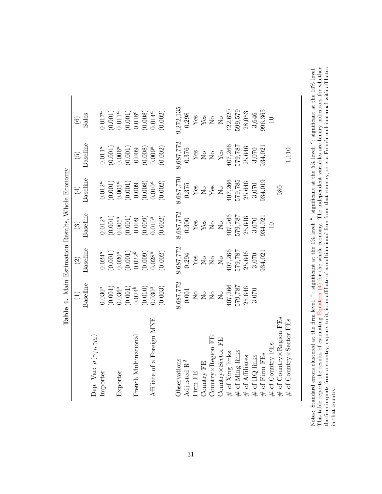<span id="page-32-0"></span>

|                                                                         | Table 4. Main Estimation Results, Whole Economy |                                                                         |                                                                                                             |                                                                                                                                      |                                                                                                                                |                                                                                                          |
|-------------------------------------------------------------------------|-------------------------------------------------|-------------------------------------------------------------------------|-------------------------------------------------------------------------------------------------------------|--------------------------------------------------------------------------------------------------------------------------------------|--------------------------------------------------------------------------------------------------------------------------------|----------------------------------------------------------------------------------------------------------|
|                                                                         | $\widehat{\Xi}$                                 | $\odot$                                                                 | $\widetilde{\omega}$                                                                                        | $(\pm)$                                                                                                                              | $\widetilde{\Xi}$                                                                                                              | $\odot$                                                                                                  |
|                                                                         | Baseline                                        | Baseline                                                                | Baseline                                                                                                    | Baseline                                                                                                                             | Baseline                                                                                                                       | Sales                                                                                                    |
| Dep. Var: $\rho(\gamma_{ft}, \gamma_{Ct})$                              |                                                 |                                                                         |                                                                                                             |                                                                                                                                      |                                                                                                                                |                                                                                                          |
| Importer                                                                | $0.030^{a}$                                     | $0.024^a$                                                               | $0.012^{a}$                                                                                                 | $0.012^a$                                                                                                                            | $0.011^a$                                                                                                                      | $0.017^{a}$                                                                                              |
|                                                                         | $(0.001)$                                       | (0.001)                                                                 |                                                                                                             |                                                                                                                                      | (0.001)                                                                                                                        |                                                                                                          |
| Exporter                                                                | $0.036^a$                                       | $0.020^a$                                                               |                                                                                                             |                                                                                                                                      |                                                                                                                                |                                                                                                          |
|                                                                         | $(0.001)$<br>$0.024b$                           | $\begin{array}{c} (0.001) \\ 0.022^b \\ (0.009) \\ 0.028^a \end{array}$ | $\begin{array}{c} (0.001) \\ 0.005^a \\ (0.001) \\ 0.009 \\ (0.009) \\ (0.009) \\ \end{array}$              | $(0.001)$<br>$0.005^a$<br>$(0.001)$<br>$0.009$                                                                                       | $\begin{array}{c} 0.006^a\\ (0.001)\\ 0.009\\ (0.008)\\ (0.008)\end{array}$                                                    |                                                                                                          |
| French Multinational                                                    |                                                 |                                                                         |                                                                                                             |                                                                                                                                      |                                                                                                                                |                                                                                                          |
|                                                                         | $\left( 0.010\right)$ $0.030^{a}$               |                                                                         |                                                                                                             | $(0.008)$<br>0.010 <sup>a</sup>                                                                                                      |                                                                                                                                |                                                                                                          |
| Affiliate of a Foreign MNE                                              |                                                 |                                                                         |                                                                                                             |                                                                                                                                      |                                                                                                                                |                                                                                                          |
|                                                                         | (0.003)                                         | (0.002)                                                                 | (0.002)                                                                                                     | (0.002)                                                                                                                              | (0.002)                                                                                                                        | $\begin{array}{c} (0.001) \\ 0.011^a \\ (0.001) \\ 0.018^c \\ (0.008) \\ (0.008) \\ 0.014^a \end{array}$ |
| Observations                                                            |                                                 | 8,687,772                                                               | 8,687,772                                                                                                   |                                                                                                                                      |                                                                                                                                | 9,272,135                                                                                                |
| Adjusted $\mathbf{R}^2$                                                 | $8,687,772$<br>$0.001$                          | 0.294                                                                   | 0.300                                                                                                       | $8{,}687{,}770$ $0.375$                                                                                                              |                                                                                                                                | 0.298                                                                                                    |
| Firm FE                                                                 |                                                 | $\mathbf{Y}\mathbf{es}$                                                 |                                                                                                             |                                                                                                                                      |                                                                                                                                |                                                                                                          |
| Country FE                                                              | 2222                                            |                                                                         | $\begin{array}{c} \chi_{\text{es}} \\ \chi_{\text{es}} \\ \chi_{\text{co}} \\ \chi_{\text{co}} \end{array}$ | $\begin{array}{l} {\bf Yes}\\ {\bf No}\\ {\bf Yes}\\ {\bf No}\\ {\bf NO}\\ {\bf SO7},266\\ {\bf 579},785\\ {\bf 25},646 \end{array}$ | $\begin{array}{l} 8{,}687{,}772 \\ 0{,}376 \\ \text{Yes} \\ \text{Yes} \\ \text{No} \\ \text{No} \\ \text{Yes} \\ \end{array}$ | $\frac{1}{2}$ as $\frac{1}{2}$ as $\frac{1}{2}$                                                          |
| $\operatorname{Country} \times \operatorname{Region} \operatorname{FE}$ |                                                 | $228$                                                                   |                                                                                                             |                                                                                                                                      |                                                                                                                                |                                                                                                          |
| EE<br>Country × Sector                                                  |                                                 |                                                                         |                                                                                                             |                                                                                                                                      |                                                                                                                                |                                                                                                          |
| $#$ of Xing links                                                       |                                                 |                                                                         |                                                                                                             |                                                                                                                                      |                                                                                                                                |                                                                                                          |
| $#$ of Ming links                                                       | $407,266$<br>579,787<br>25,646                  | $407,266$<br>579,787<br>25,646                                          | $\frac{407,266}{579,787}$ $\frac{25,646}{25,646}$                                                           |                                                                                                                                      | 407,266<br>579,787                                                                                                             | 422,620<br>599,579                                                                                       |
| # of Affiliates                                                         |                                                 |                                                                         |                                                                                                             |                                                                                                                                      | 25,646                                                                                                                         | 28,053                                                                                                   |
| $#$ of HQ links                                                         | 3,070                                           | $3,070$                                                                 | 3,070                                                                                                       | $3,070$                                                                                                                              | 3,070<br>934,021                                                                                                               | 3,646                                                                                                    |
| $#$ of Firm FEs                                                         |                                                 | 934,021                                                                 | $^{934,021}_{10}$                                                                                           | 934,019                                                                                                                              |                                                                                                                                | 996,365                                                                                                  |
| # of Country FEs                                                        |                                                 |                                                                         |                                                                                                             |                                                                                                                                      |                                                                                                                                | $\Box$                                                                                                   |
| # of $\text{Country} \times \text{Region} \text{ FEs}$                  |                                                 |                                                                         |                                                                                                             | 980                                                                                                                                  |                                                                                                                                |                                                                                                          |
| of Country×Sector FEs                                                   |                                                 |                                                                         |                                                                                                             |                                                                                                                                      | 1,110                                                                                                                          |                                                                                                          |

Notes: Standard errors clustered at the firm level. ": significant at the 1% level; ": significant at the 5% level; ": significant at the 10% level.<br>This table reports the results of estimating Equation (4) for the whole Notes: Standard errors clustered at the firm level.  $a$ : significant at the 1% level;  $b$ : significant at the 5% level;  $c$ : significant at the 10% level. This table reports the results of estimating [Equation](#page-8-0) (4) for the whole economy. The independent variables are binary indicators for whether the firm imports from a country, exports to it, is an affiliate of a multinational firm from that country, or is a French multinational with affiliates in that country.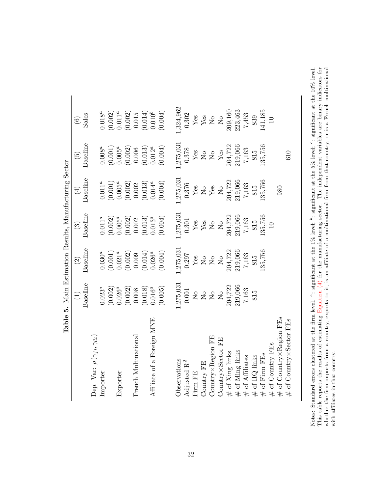<span id="page-33-0"></span>

|                                                                  |                                                                                                                                                                                                                                                                                                                                                                                                                            |                                                                                                                                                            |                                                                                                                   | Table 5. Main Estimation Results, Manufacturing Sector                                                               |                                                                                       |                                                                                                                                                                                                                       |
|------------------------------------------------------------------|----------------------------------------------------------------------------------------------------------------------------------------------------------------------------------------------------------------------------------------------------------------------------------------------------------------------------------------------------------------------------------------------------------------------------|------------------------------------------------------------------------------------------------------------------------------------------------------------|-------------------------------------------------------------------------------------------------------------------|----------------------------------------------------------------------------------------------------------------------|---------------------------------------------------------------------------------------|-----------------------------------------------------------------------------------------------------------------------------------------------------------------------------------------------------------------------|
|                                                                  | $\Xi$                                                                                                                                                                                                                                                                                                                                                                                                                      | $\odot$                                                                                                                                                    | $\widehat{\mathbb{G}}$                                                                                            | $(\pm)$                                                                                                              | $\widetilde{\Xi}$                                                                     | $\widehat{\odot}$                                                                                                                                                                                                     |
|                                                                  | Baseline                                                                                                                                                                                                                                                                                                                                                                                                                   | Baseline                                                                                                                                                   | Baseline                                                                                                          | Baseline                                                                                                             | Baseline                                                                              | Sales                                                                                                                                                                                                                 |
| Dep. Var: $\rho(\gamma_{ft}, \gamma_{Ct})$                       |                                                                                                                                                                                                                                                                                                                                                                                                                            |                                                                                                                                                            |                                                                                                                   |                                                                                                                      |                                                                                       |                                                                                                                                                                                                                       |
| Importer                                                         | $0.023^{a}$                                                                                                                                                                                                                                                                                                                                                                                                                | $0.030^{a}$                                                                                                                                                | $0.011^a$                                                                                                         | $0.011^a$                                                                                                            | $0.008^a$                                                                             | $0.018^a$                                                                                                                                                                                                             |
|                                                                  |                                                                                                                                                                                                                                                                                                                                                                                                                            |                                                                                                                                                            |                                                                                                                   |                                                                                                                      |                                                                                       |                                                                                                                                                                                                                       |
| Exporter                                                         |                                                                                                                                                                                                                                                                                                                                                                                                                            |                                                                                                                                                            |                                                                                                                   |                                                                                                                      |                                                                                       |                                                                                                                                                                                                                       |
|                                                                  | $(0.002)$<br>$0.026^a$<br>$(0.002)$<br>$0.008$<br>$(0.018)$<br>$(0.016^a$                                                                                                                                                                                                                                                                                                                                                  |                                                                                                                                                            |                                                                                                                   |                                                                                                                      |                                                                                       |                                                                                                                                                                                                                       |
| French Multinational                                             |                                                                                                                                                                                                                                                                                                                                                                                                                            |                                                                                                                                                            |                                                                                                                   |                                                                                                                      |                                                                                       |                                                                                                                                                                                                                       |
|                                                                  |                                                                                                                                                                                                                                                                                                                                                                                                                            |                                                                                                                                                            |                                                                                                                   |                                                                                                                      |                                                                                       |                                                                                                                                                                                                                       |
| Affiliate of a Foreign MNE                                       |                                                                                                                                                                                                                                                                                                                                                                                                                            |                                                                                                                                                            |                                                                                                                   |                                                                                                                      |                                                                                       |                                                                                                                                                                                                                       |
|                                                                  | (0.005)                                                                                                                                                                                                                                                                                                                                                                                                                    | $\begin{array}{c} (0.001) \\ 0.021^a \\ (0.002) \\ 0.009 \\ (0.014) \\ 0.026^a \\ 0.026^a \end{array}$                                                     | $\begin{array}{c} (0.002) \\ 0.005^a \\ (0.002) \\ 0.002 \\ (0.013) \\ (0.013^a \\ 0.013^a \end{array}$           | $\begin{array}{c} (0.001) \\ 0.005^a \\ (0.002) \\ 0.002 \\ (0.013) \\ 0.014^a \\ 0.014^a \end{array}$               | $(0.001)$<br>$0.005^a$<br>$(0.002)$<br>$0.006$<br>$(0.013)$<br>$0.012^a$<br>$(0.004)$ | $\begin{array}{c} (0.002) \\ 0.011^a \\ (0.002) \\ 0.015 \\ (0.014) \\ (0.010^b \\ 0.010^b \end{array}$                                                                                                               |
| Observations                                                     |                                                                                                                                                                                                                                                                                                                                                                                                                            |                                                                                                                                                            | .,275,031                                                                                                         | 1,275,031                                                                                                            |                                                                                       |                                                                                                                                                                                                                       |
| Adjusted R <sup>2</sup>                                          | $1,275,031$<br>0.001                                                                                                                                                                                                                                                                                                                                                                                                       | $[\begin{array}{l} 1.275,031\\ 0.297\\ \text{Yes}\\ \text{N\,6}\\ \text{N\,6}\\ \text{N\,6}\\ \text{N\,6}\\ \text{N\,6}\\ 204,722\\ 219,066\\ \end{array}$ | 0.301                                                                                                             | $\begin{array}{c} 0.376 \\ \text{Yes} \\ \text{No} \\ \text{Yes} \\ \text{Yes} \\ 104,722 \\ 204,722 \\ \end{array}$ | $[1275, 031\n0.378\nYes\nN6\nN6\n204, 722\n219, 066$                                  | $\begin{array}{l} 1,324,962\\ 0.302\\ \text{Yes}\\ \text{Yes}\\ \text{N\,65}\\ \text{N\,6}\\ \text{N\,6}\\ \text{N\,6}\\ \text{N\,6}\\ 209,160\\ \text{7,453}\\ \text{7,453}\\ \text{839}\\ \text{839}\\ \end{array}$ |
| Firm FE                                                          |                                                                                                                                                                                                                                                                                                                                                                                                                            |                                                                                                                                                            |                                                                                                                   |                                                                                                                      |                                                                                       |                                                                                                                                                                                                                       |
| Country FE                                                       | $\begin{array}{l} \tt No\ o\ \tt No\ o\ \tt No\ O\ \tt No\ O\ \tt NO\ O\ \tt NO\ O\ \tt NO\ O\ \tt NO\ O\ \tt NO\ O\ \tt NO\ O\ \tt NO\ O\ \tt NO\ O\ \tt NO\ O\ \tt NO\ O\ \tt NO\ O\ \tt NO\ O\ \tt NO\ O\ \tt NO\ O\ \tt NO\ O\ \tt NO\ O\ \tt NO\ O\ \tt NO\ O\ \tt NO\ O\ \tt NO\ O\ \tt NO\ O\ \tt NO\ O\ \tt NO\ O\ \tt NO\ O\ \tt NO\ O\ \tt NO\ O\ \tt NO\ O\ \tt NO\ O\ \tt NO\ O\ \tt NO\ O\ \tt NO\ O\ \tt NO$ |                                                                                                                                                            | $\begin{array}{l} {\rm Yes}\\ {\rm Yes}\\ {\rm No}\\ 204,722\\ 219,066\\ 7,163\\ 815\\ 815\\ 135,756 \end{array}$ |                                                                                                                      |                                                                                       |                                                                                                                                                                                                                       |
| $\operatorname{Country} \times \operatorname{Region} \text{ FE}$ |                                                                                                                                                                                                                                                                                                                                                                                                                            |                                                                                                                                                            |                                                                                                                   |                                                                                                                      |                                                                                       |                                                                                                                                                                                                                       |
| $_{\rm FE}$<br>Country × Sector                                  |                                                                                                                                                                                                                                                                                                                                                                                                                            |                                                                                                                                                            |                                                                                                                   |                                                                                                                      |                                                                                       |                                                                                                                                                                                                                       |
| $#$ of Xing links                                                |                                                                                                                                                                                                                                                                                                                                                                                                                            |                                                                                                                                                            |                                                                                                                   |                                                                                                                      |                                                                                       |                                                                                                                                                                                                                       |
| $#$ of Ming links                                                |                                                                                                                                                                                                                                                                                                                                                                                                                            |                                                                                                                                                            |                                                                                                                   |                                                                                                                      |                                                                                       |                                                                                                                                                                                                                       |
| # of Affiliates                                                  |                                                                                                                                                                                                                                                                                                                                                                                                                            | 7,163                                                                                                                                                      |                                                                                                                   | $7,163$<br>815<br>95,756                                                                                             | $\frac{7,163}{815}$<br>135,756                                                        |                                                                                                                                                                                                                       |
| $#$ of HQ links                                                  | 815                                                                                                                                                                                                                                                                                                                                                                                                                        | $815$<br>$(35,756)$                                                                                                                                        |                                                                                                                   |                                                                                                                      |                                                                                       |                                                                                                                                                                                                                       |
| $#$ of Firm FEs                                                  |                                                                                                                                                                                                                                                                                                                                                                                                                            |                                                                                                                                                            |                                                                                                                   |                                                                                                                      |                                                                                       |                                                                                                                                                                                                                       |
| # of Country FEs                                                 |                                                                                                                                                                                                                                                                                                                                                                                                                            |                                                                                                                                                            |                                                                                                                   |                                                                                                                      |                                                                                       | $141,185$<br>141,185                                                                                                                                                                                                  |
| $\#$ of Country×Region FEs                                       |                                                                                                                                                                                                                                                                                                                                                                                                                            |                                                                                                                                                            |                                                                                                                   | 980                                                                                                                  |                                                                                       |                                                                                                                                                                                                                       |
| of Country×Sector FEs                                            |                                                                                                                                                                                                                                                                                                                                                                                                                            |                                                                                                                                                            |                                                                                                                   |                                                                                                                      | 610                                                                                   |                                                                                                                                                                                                                       |

Notes: Standard errors clustered at the firm level. ": significant at the 1% level; ": significant at the 5% level; ": significant at the 10% level.<br>This table reports the results of estimating Equation (4) for the manufa Notes: Standard errors clustered at the firm level.  $a$ : significant at the 1% level;  $b$ : significant at the 5% level;  $c$ : significant at the 10% level. This table reports the results of estimating [Equation](#page-8-0) (4) for the manufacturing sector. The independent variables are binary indicators for whether the firm imports from a country, exports to it, is an affiliate of a multinational firm from that country, or is a French multinational with affiliates in that country.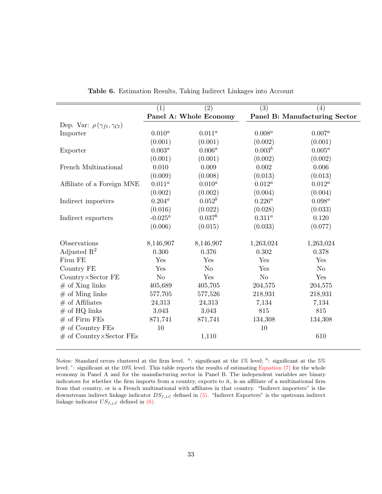<span id="page-34-0"></span>

|                                                      | (1)            | (2)                    | $\overline{(3)}$ | (4)                           |
|------------------------------------------------------|----------------|------------------------|------------------|-------------------------------|
|                                                      |                | Panel A: Whole Economy |                  | Panel B: Manufacturing Sector |
| Dep. Var: $\rho(\gamma_{ft}, \gamma_{\mathcal{C}t})$ |                |                        |                  |                               |
| Importer                                             | $0.010^a$      | $0.011^a$              | $0.008^a$        | $0.007^{a}$                   |
|                                                      | (0.001)        | (0.001)                | (0.002)          | (0.001)                       |
| Exporter                                             | $0.003^a$      | $0.006^{a}$            | $0.003^b$        | $0.005^a$                     |
|                                                      | (0.001)        | (0.001)                | (0.002)          | (0.002)                       |
| French Multinational                                 | 0.010          | 0.009                  | 0.002            | 0.006                         |
|                                                      | (0.009)        | (0.008)                | (0.013)          | (0.013)                       |
| Affiliate of a Foreign MNE                           | $0.011^a$      | $0.010^{a}$            | $0.012^a$        | $0.012^a$                     |
|                                                      | (0.002)        | (0.002)                | (0.004)          | (0.004)                       |
| Indirect importers                                   | $0.204^a$      | $0.052^b$              | $0.226^a$        | $0.098^a\,$                   |
|                                                      | (0.016)        | (0.022)                | (0.028)          | (0.033)                       |
| Indirect exporters                                   | $-0.025^a$     | $0.037^b$              | $0.311^{a}$      | 0.120                         |
|                                                      | (0.006)        | (0.015)                | (0.033)          | (0.077)                       |
| Observations                                         | 8,146,907      | 8,146,907              | 1,263,024        | 1,263,024                     |
| Adjusted $\mathbb{R}^2$                              | 0.300          | 0.376                  | 0.302            | 0.378                         |
| Firm FE                                              | Yes            | Yes                    | Yes              | Yes                           |
| Country FE                                           | Yes            | N <sub>o</sub>         | Yes              | N <sub>o</sub>                |
| Country×Sector FE                                    | N <sub>o</sub> | Yes                    | N <sub>o</sub>   | Yes                           |
| $#$ of Xing links                                    | 405,689        | 405,705                | 204,575          | 204,575                       |
| $#$ of Ming links                                    | 577,705        | 577,526                | 218,931          | 218,931                       |
| $#$ of Affiliates                                    | 24,313         | 24,313                 | 7,134            | 7,134                         |
| $#$ of HQ links                                      | 3,043          | 3,043                  | 815              | 815                           |
| $#$ of Firm FEs                                      | 871,741        | 871,741                | 134,308          | 134,308                       |
| $#$ of Country FEs                                   | 10             |                        | 10               |                               |
| $#$ of Country×Sector FEs                            |                | 1,110                  |                  | 610                           |

| Table 6. Estimation Results, Taking Indirect Linkages into Account |  |  |
|--------------------------------------------------------------------|--|--|
|--------------------------------------------------------------------|--|--|

Notes: Standard errors clustered at the firm level.  $a$ : significant at the 1% level;  $b$ : significant at the 5% level; <sup>c</sup>: significant at the 10% level. This table reports the results of estimating [Equation \(7\)](#page-11-0) for the whole economy in Panel A and for the manufacturing sector in Panel B. The independent variables are binary indicators for whether the firm imports from a country, exports to it, is an affiliate of a multinational firm from that country, or is a French multinational with affiliates in that country. "Indirect importers" is the downstream indirect linkage indicator  $DS_{f,j,C}$  defined in [\(5\).](#page-9-0) "Indirect Exporters" is the upstream indirect linkage indicator  $US_{f,j,\mathcal{C}}$  defined in [\(6\).](#page-9-1)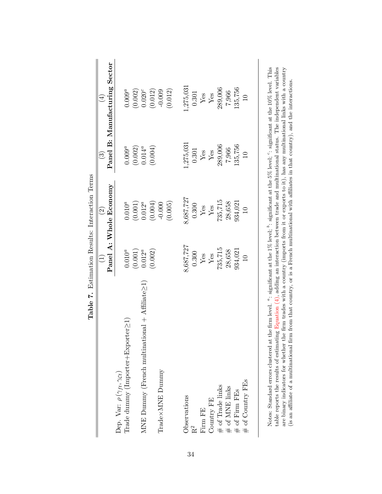<span id="page-35-0"></span>

|                                                                                                                                            |                                 | Table 7. Estimation Results: Interaction Terms |                                                              |                               |
|--------------------------------------------------------------------------------------------------------------------------------------------|---------------------------------|------------------------------------------------|--------------------------------------------------------------|-------------------------------|
|                                                                                                                                            | $\widehat{\Xi}$                 | $\widehat{2}$                                  | $\widehat{\mathbb{C}}$                                       | $(\pm)$                       |
|                                                                                                                                            |                                 | Panel A: Whole Economy                         |                                                              | Panel B: Manufacturing Sector |
| Dep. Var: $\rho\left(\gamma_{ft},\gamma_{Ct}\right)$                                                                                       |                                 |                                                |                                                              |                               |
| $\text{Trade dummy (Importer} + \text{Exporter} \geq 1)$                                                                                   | $0.010^a$                       | $0.010^a$                                      |                                                              | $0.009^a$                     |
|                                                                                                                                            | $\left( 0.001\right)$           | $\left(0.001\right)$ $0.012^a$                 | $\begin{array}{c} 0.009^a \\ (0.002) \\ 0.014^a \end{array}$ | (0.002)                       |
| MNE Dummy (French multinational $+$ Affiliate $\geq$ 1)                                                                                    | $0.012^a$                       |                                                |                                                              | 0.020 <sup>c</sup>            |
|                                                                                                                                            | (0.002)                         | (0.004)                                        | (0.004)                                                      | (0.012)                       |
| Trade×MNE Dummy                                                                                                                            |                                 | $-0.000$                                       |                                                              |                               |
|                                                                                                                                            |                                 | (0.005)                                        |                                                              | (0.012)                       |
| Observations                                                                                                                               | 8,687,727                       | 8,687,727                                      | 1,275,031                                                    | 1,275,031                     |
| R <sup>2</sup>                                                                                                                             | 0.300                           | 0.300                                          | 0.301                                                        | 0.301                         |
| Firm FE                                                                                                                                    | $\frac{\text{Yes}}{\text{Yes}}$ | $\frac{\text{Yes}}{\text{Yes}}$                | $\rm \frac{Yes}{Yes}$                                        | $\rm \frac{Yes}{Yes}$         |
| Country FE                                                                                                                                 |                                 |                                                |                                                              |                               |
| $\begin{array}{l} \# \text{ of Trade links} \\ \# \text{ of MNE links} \\ \# \text{ of Firm FEs} \\ \# \text{ of Country FEs} \end{array}$ | 735,715                         | 735,715                                        | 289,006                                                      | 289,006                       |
|                                                                                                                                            | 28,658                          | 28,658                                         | 7,966                                                        | 7,966                         |
|                                                                                                                                            | 934,021                         | 934,021                                        | 135,756                                                      | 135,756                       |
|                                                                                                                                            | $\overline{a}$                  | $\overline{a}$                                 | $\overline{10}$                                              | $\overline{a}$                |
|                                                                                                                                            |                                 |                                                |                                                              |                               |

Notes: Standard errors clustered at the firm level. <sup>a</sup>: significant at the 1% level; <sup>b</sup>: significant at the 5% level; <sup>c</sup>: significant at the 10% level. This table reports the results of estimating Equation  $(4)$ , adding an interaction between trade and multinational status. The independent variables are binary indicators for whether the firm trades with a country (imports fro Notes: Standard errors clustered at the firm level. <sup>a</sup>: significant at the 1% level; <sup>b</sup>: significant at the 5% level; <sup>c</sup>: significant at the 10% level. This table reports the results of estimating [Equation](#page-8-0) (4), adding an interaction between trade and multinational status. The independent variables are binary indicators for whether the firm trades with a country (imports from it or exports to it), has any multinational links with a country

(is an affiliate of a multinational firm from that country, or is a French multinational with affiliates in that country), and the interactions.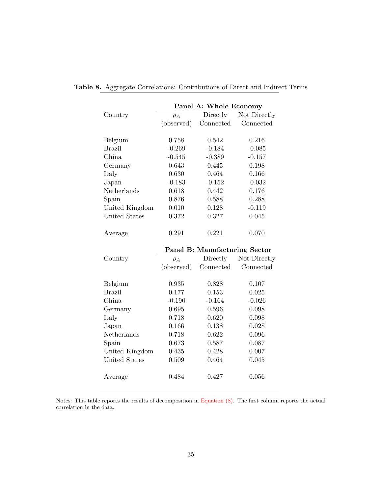|                |            | Panel A: Whole Economy        |              |
|----------------|------------|-------------------------------|--------------|
| Country        | $\rho_A$   | Directly                      | Not Directly |
|                | (observed) | Connected                     | Connected    |
|                |            |                               |              |
| Belgium        | 0.758      | 0.542                         | 0.216        |
| <b>Brazil</b>  | $-0.269$   | $-0.184$                      | $-0.085$     |
| China          | $-0.545$   | $-0.389$                      | $-0.157$     |
| Germany        | 0.643      | 0.445                         | $0.198\,$    |
| Italy          | 0.630      | 0.464                         | 0.166        |
| Japan          | $-0.183$   | $-0.152$                      | $-0.032$     |
| Netherlands    | 0.618      | 0.442                         | 0.176        |
| Spain          | 0.876      | 0.588                         | 0.288        |
| United Kingdom | 0.010      | 0.128                         | $-0.119$     |
| United States  | 0.372      | 0.327                         | 0.045        |
| Average        | 0.291      | 0.221                         | 0.070        |
|                |            | Panel B: Manufacturing Sector |              |
| Country        | $\rho_A$   | Directly                      | Not Directly |
|                | (observed) | Connected                     | Connected    |
|                |            |                               |              |
| Belgium        | 0.935      | 0.828                         | 0.107        |
| <b>Brazil</b>  | 0.177      | 0.153                         | 0.025        |
| China          | $-0.190$   | $-0.164$                      | $-0.026$     |
| Germany        | 0.695      | 0.596                         | 0.098        |
| Italy          | 0.718      | 0.620                         | 0.098        |
| Japan          | 0.166      | 0.138                         | 0.028        |
| Netherlands    | 0.718      | 0.622                         | 0.096        |
| Spain          | 0.673      | 0.587                         | 0.087        |
| United Kingdom | 0.435      | 0.428                         | 0.007        |

## <span id="page-36-0"></span>Table 8. Aggregate Correlations: Contributions of Direct and Indirect Terms

Notes: This table reports the results of decomposition in [Equation \(8\).](#page-12-2) The first column reports the actual correlation in the data.

United States 0.509 0.464 0.045

Average 0.484 0.427 0.056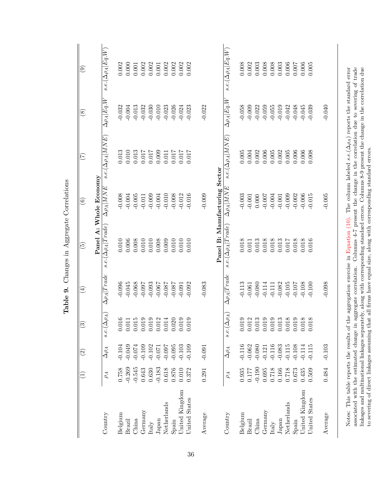<span id="page-37-0"></span>

|                                                                |          | $\widetilde{\mathcal{S}}$ | $\odot$                                  | $\bigoplus$                        | $\widetilde{\mathfrak{G}}$                                                                                                                                                                                                                                           | $\widehat{\odot}$              | (7)                                                                        | $\circledast$             | ම                         |
|----------------------------------------------------------------|----------|---------------------------|------------------------------------------|------------------------------------|----------------------------------------------------------------------------------------------------------------------------------------------------------------------------------------------------------------------------------------------------------------------|--------------------------------|----------------------------------------------------------------------------|---------------------------|---------------------------|
|                                                                |          |                           |                                          |                                    |                                                                                                                                                                                                                                                                      | Panel A: Whole Economy         |                                                                            |                           |                           |
| Country                                                        | $\rho_A$ | $\Delta\rho_A$            | $\rho_A)$<br>$s.e.(\Delta)$              | $\Delta \rho_A   \overline{Trace}$ | $s.e.(\Delta\rho_A Tradeade)$                                                                                                                                                                                                                                        | $\Delta \rho_A M\overline{NE}$ | $s.e.(\Delta\rho_A M\,N E)$                                                | $\Delta\rho_A Eq.\bar{W}$ | $s.e.(\Delta\rho_A Eq.W)$ |
| Belgium                                                        | 0.758    | $-0.104$                  | 0.01                                     | $-0.096$                           | 0.010                                                                                                                                                                                                                                                                | $-0.008$                       | 0.013                                                                      | $-0.032$                  | 0.002                     |
| Brazil                                                         | $-0.269$ | $-0.049$                  | $\circ$ $\overline{\phantom{0}}$<br>0.01 | $-0.045$                           | 0.006                                                                                                                                                                                                                                                                | $-0.004$                       | 0.010                                                                      | $-0.004$                  | 0.000                     |
| China                                                          | $-0.545$ | $-0.074$                  | IJ<br>0.01                               | $-0.068$                           | 0.008                                                                                                                                                                                                                                                                | $-0.005$                       | 0.013                                                                      | $-0.013$                  | 0.001                     |
| Germany                                                        | 0.643    | $-0.109$                  | ာ<br>0.01                                | $-0.097$                           | 0.010                                                                                                                                                                                                                                                                | $-0.011$                       | 0.017                                                                      | $-0.032$                  | 0.002                     |
| Italy                                                          | 0.630    | $-0.102$                  | $\circ$ $\circ$<br>0.01                  | $-0.093$                           | 0.010                                                                                                                                                                                                                                                                | $-0.009$                       | 0.017                                                                      | $-0.030$                  | 0.002                     |
| $_{\rm Japan}$                                                 | $-0.183$ | $-0.071$                  | 0.01                                     | $-0.067$                           | 0.008                                                                                                                                                                                                                                                                | $-0.004$                       | 0.009                                                                      | $-0.010$                  | 0.001                     |
| Netherlands                                                    | 0.618    | $-0.097$                  | $\overline{\phantom{a}}$<br>0.01         | $-0.087$                           | 0.009                                                                                                                                                                                                                                                                | $-0.010$                       | 0.011                                                                      | $-0.023$                  | 0.002                     |
| Spain                                                          | 0.876    | $-0.095$                  | 0.020                                    | $-0.087$                           | 0.010                                                                                                                                                                                                                                                                | $-0.008$                       | 0.017                                                                      | $-0.026$                  | 0.002                     |
| United Kingdom                                                 | 0.010    | $-0.103$                  | 0.019                                    | $-0.091$                           | 0.010                                                                                                                                                                                                                                                                | $-0.012$                       | 0.017                                                                      | $-0.024$                  | 0.002                     |
| United States                                                  | 0.372    | $-0.109$                  | 0.01                                     | $-0.092$                           | 0.010                                                                                                                                                                                                                                                                | $-0.016$                       | $0.017$                                                                    | $-0.023$                  | 0.002                     |
| Average                                                        | 0.291    | $-0.091$                  |                                          | $-0.083$                           |                                                                                                                                                                                                                                                                      | $-0.009$                       |                                                                            | $-0.022$                  |                           |
|                                                                |          |                           |                                          |                                    | Panel B: Manufacturing Sector                                                                                                                                                                                                                                        |                                |                                                                            |                           |                           |
| Country                                                        | $\rho_A$ | $\Delta\rho_A$            | $\rho_A)$<br>$s.e.(\Delta)$              | $\Delta \rho_A   Trade$            | $s.e.(\Delta\rho_A Trade,rade)$                                                                                                                                                                                                                                      | $\Delta \rho_A   MNE$          | $s.e.(\Delta\rho_A MNE)$                                                   | $\Delta\rho_A Eq.W$       | $s.e.(\Delta\rho_A Eq.W)$ |
| Belgium                                                        | 0.935    | $-0.116$                  | c<br>0.01                                | $-0.113$                           | 0.018                                                                                                                                                                                                                                                                | $-0.003$                       | 0.005                                                                      | $-0.058$                  | 0.008                     |
| Brazil                                                         | 0.177    | $-0.062$                  | $\mathbf{\Omega}$<br>0.01                | $-0.061$                           | 0.011                                                                                                                                                                                                                                                                | $-0.001$                       | 0.004                                                                      | $-0.009$                  | 0.002                     |
| China                                                          | $-0.190$ | $-0.080$                  | S<br>0.01                                | $-0.080$                           | 0.013                                                                                                                                                                                                                                                                | 0.000                          | 0.002                                                                      | $-0.022$                  | 0.003                     |
| Germany                                                        | 0.695    | $-0.121$                  | $\circ$<br>0.01                          | $-0.114$                           | 0.018                                                                                                                                                                                                                                                                | $-0.007$                       | 0.006                                                                      | $-0.059$                  | 0.008                     |
| Italy                                                          | 0.718    | $-0.116$                  | $\circ$<br>0.01                          | $-0.111$                           | 0.018                                                                                                                                                                                                                                                                | $-0.004$                       | 0.005                                                                      | $-0.055$                  | 0.008                     |
| $_{\rm Japan}$                                                 | 0.166    | $-0.083$                  | ಣ<br>0.01                                | $-0.082$                           | 0.013                                                                                                                                                                                                                                                                | $-0.001$                       | 0.002                                                                      | $-0.019$                  | 0.003                     |
| Netherlands                                                    | 0.718    | $-0.115$                  | $\infty$<br>0.01                         | $-0.105$                           | 0.017                                                                                                                                                                                                                                                                | $-0.009$                       | 0.005                                                                      | $-0.042$                  | 0.006                     |
| Spain                                                          | 0.673    | $-0.108$                  | G<br>0.01                                | $-0.107$                           | 0.018                                                                                                                                                                                                                                                                | $-0.002$                       | 0.006                                                                      | $-0.048$                  | 0.007                     |
| United Kingdom                                                 | 0.435    | $-0.114$                  | $\infty$<br>0.01                         | $-0.108$                           | 0.018                                                                                                                                                                                                                                                                | $-0.006$                       | 0.006                                                                      | $-0.045$                  | 0.006                     |
| United States                                                  | 0.509    | $-0.115$                  | 0.01                                     | $-0.100$                           | 0.016                                                                                                                                                                                                                                                                | $-0.015$                       | 0.008                                                                      | $-0.039$                  | 0.005                     |
| Average                                                        | 0.484    | $-0.103$                  |                                          | $-0.098$                           |                                                                                                                                                                                                                                                                      | $-0.005$                       |                                                                            | $-0.040$                  |                           |
| associated with the estimated change in aggregate correlation. |          |                           |                                          |                                    | Notes: This table reports the results of the aggregation exercise in Equation (10). The column labeled s.c. $(\Delta \rho_A)$ reports the standard error                                                                                                             |                                | Columns 4-7 present the change in the correlation due to severing of trade |                           |                           |
|                                                                |          |                           |                                          |                                    | linkages and multinational linkages separately, along with corresponding standard errors. Columns 8-9 present the change in the correlation due<br>to severing of direct linkages assuming that all firms have equal size, along with corresponding standard errors. |                                |                                                                            |                           |                           |

Table 9. Changes in Aggregate Correlations **Table 9.** Changes in Aggregate Correlations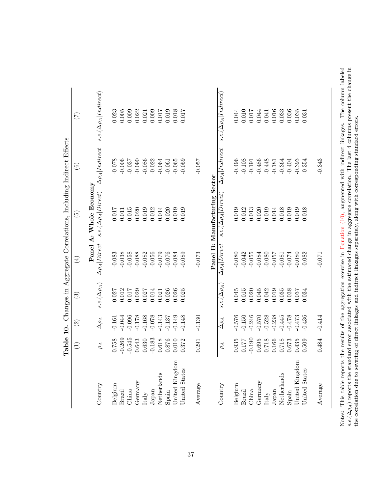<span id="page-38-0"></span>

|                             | $\widehat{\Xi}$ | $\widehat{\mathfrak{D}}$ | $\widehat{\mathbb{C}}$ | $\bigoplus$                                              | Table 10. Changes in Aggregate Correlations, Including Indirect Effects<br>$\widetilde{\mathbb{G}}$ | $\widehat{\circ}$                | $(\mathcal{I})$                   |
|-----------------------------|-----------------|--------------------------|------------------------|----------------------------------------------------------|-----------------------------------------------------------------------------------------------------|----------------------------------|-----------------------------------|
|                             |                 |                          |                        |                                                          |                                                                                                     |                                  |                                   |
|                             |                 |                          |                        |                                                          | Panel A: Whole Economy                                                                              |                                  |                                   |
| Country                     | $\rho_A$        | $\Delta\rho_A$           | $s.e.(\Delta\rho_A)$   | $\Delta \rho_A   Direct$                                 | $s.e.(\Delta\rho_A Direct)$                                                                         | $\Delta \rho_A   Indirect$       | $s.e. (\Delta \rho_A   Indirect)$ |
| Belgium                     | 0.758           | $-0.161$                 | $0.027$                | $-0.083$                                                 | $0.017$                                                                                             | $-0.078$                         | 0.023                             |
| Brazil                      | $-0.269$        | $-0.044$                 | 0.012                  | $-0.038$                                                 | 0.011                                                                                               | $-0.006$                         | $0.005$                           |
| China                       | $-0.545$        | $-0.096$                 | 0.017                  | $-0.058$                                                 | $0.015\,$                                                                                           | $-0.037$                         | 0.009                             |
| Germany                     | 0.643           | $-0.178$                 | 0.029                  | $-0.088$                                                 | 0.020                                                                                               | $-0.090$                         | 0.022                             |
| $\ensuremath{\text{Italy}}$ | 0.630           | $-0.168$                 | 0.027                  | $-0.082$                                                 | 0.019                                                                                               | $-0.086$                         | 0.021                             |
| ${\it Japan}$               | $-0.183$        | $-0.078$                 | $0.014\,$              | $-0.056$                                                 | 0.012                                                                                               | $-0.022$                         | 0.009                             |
| Netherlands                 | $0.618\,$       | $-0.143$                 | 0.021                  | $-0.079$                                                 | 0.014                                                                                               | $-0.064$                         | 0.017                             |
| Spain                       | $0.876\,$       | $-0.137$                 | 0.026                  | $-0.076$                                                 | 0.020                                                                                               | $-0.061$                         | 0.019                             |
| United Kingdom              | 0.010           | $-0.149$                 | 0.026                  | $-0.084$                                                 | 0.019                                                                                               | $-0.065$                         | 0.018                             |
| United States               | 0.372           | $-0.148$                 | 0.025                  | $-0.089$                                                 | 0.019                                                                                               | $-0.059$                         | 0.017                             |
| Average                     | 0.291           | $-0.130$                 |                        | $-0.073$                                                 |                                                                                                     | $-0.057$                         |                                   |
|                             |                 |                          |                        |                                                          | Panel B: Manufacturing Sector                                                                       |                                  |                                   |
| Country                     | $\rho_A$        | $\Delta\rho_A$           | $s.e.(\Delta \rho_A$   | $\Delta \rho_A   Direct$                                 | $s.e.(\Delta\rho_A Direct)$                                                                         | $\Delta\rho_A Indirect$          | $s.e. (\Delta \rho_A   Indirect)$ |
| Belgium                     | 0.935           | $-0.576$                 | $0.045\,$              | $-0.080$                                                 | 0.019                                                                                               | $-0.496$                         | 0.044                             |
| Brazil                      | 0.177           | $-0.150$                 | 0.015                  | $-0.042$                                                 | 0.012                                                                                               | $-0.108$                         | 0.010                             |
| China                       | $-0.190$        | $-0.246$                 | 0.020                  | $-0.055$                                                 | 0.013                                                                                               | $-0.191$                         | 0.017                             |
| Germany                     | 0.695           | $-0.570$                 | 0.045                  | $-0.084$                                                 | 0.020                                                                                               | $-0.486$                         | 0.044                             |
| Italy                       | 0.718           | $-0.528$                 | 0.042                  | $-0.080$                                                 | 0.019                                                                                               | $-0.448$                         | 0.041                             |
| Japan                       | 0.166           | $-0.238$                 | 0.019                  | $-0.057$                                                 | $0.014\,$                                                                                           | $-0.181$                         | 0.016                             |
| Netherlands                 | 0.718           | $-0.445$                 | 0.035                  | $-0.081$                                                 | 0.018                                                                                               | $-0.364$                         | 0.033                             |
| Spain                       | 0.673           | $-0.478$                 | 0.038                  | $-0.074$                                                 | 0.019                                                                                               | $-0.404$                         | 0.036                             |
| United Kingdom              | 0.435           | $-0.473$                 | 0.037                  | $-0.080$                                                 | 0.019                                                                                               | $-0.393$                         | 0.035                             |
| <b>Jnited States</b>        | 0.509           | $-0.436$                 | 0.034                  | $-0.082$                                                 | 0.018                                                                                               | $-0.354$                         | 0.031                             |
| Average                     | 0.484           | $-0.414$                 |                        | $-0.071$                                                 |                                                                                                     | $-0.343$                         |                                   |
| This table reports          |                 |                          |                        | the results of the aggregation evergise in Fountion (10) |                                                                                                     | augmented with indirect linkages | The column $ a $                  |

Notes: This table reports the results of the aggregation exercise in Equation (10), augmented with indirect linkages. The column labeled  $s.e.(\Delta\rho_A)$  reports the standard error associated with the estimated change in aggre Notes: This table reports the results of the aggregation exercise in [Equation](#page-12-1) (10), augmented with indirect linkages. The column labeled s.e.(∆ $\rho_A$ ) reports the standard error associated with the estimated change in aggregate correlation. The last 4 columns present the change in the correlation due to severing of direct linkages and indirect linkages separately, along with corresponding standard errors.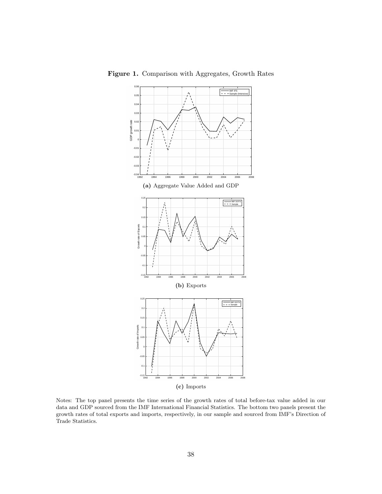

<span id="page-39-0"></span>Figure 1. Comparison with Aggregates, Growth Rates

Notes: The top panel presents the time series of the growth rates of total before-tax value added in our data and GDP sourced from the IMF International Financial Statistics. The bottom two panels present the growth rates of total exports and imports, respectively, in our sample and sourced from IMF's Direction of Trade Statistics.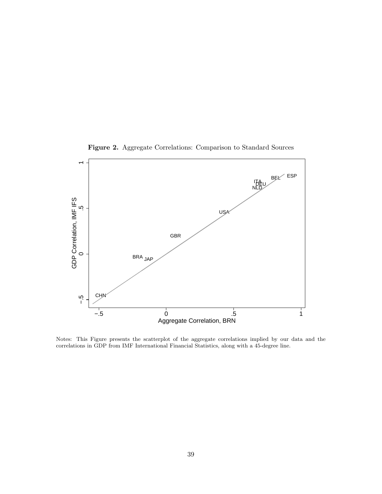<span id="page-40-0"></span>

Figure 2. Aggregate Correlations: Comparison to Standard Sources

Notes: This Figure presents the scatterplot of the aggregate correlations implied by our data and the correlations in GDP from IMF International Financial Statistics, along with a 45-degree line.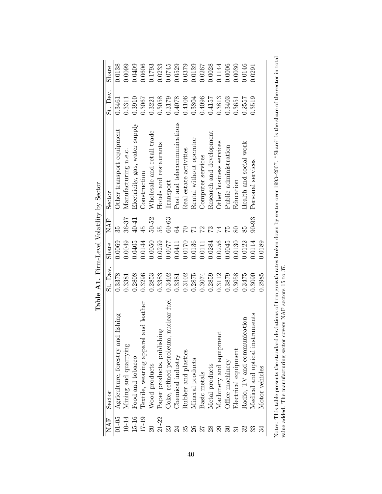|              |                                         | rane A.I. rumbeve volumly becom- |        |                |                                |          |        |
|--------------|-----------------------------------------|----------------------------------|--------|----------------|--------------------------------|----------|--------|
| NAF          | Sector                                  | St. Dev.                         | Share  | NAF            | Sector                         | St. Dev. | Share  |
| $01 - 05$    | fishing<br>Agriculture, forestry and    | 0.3378                           | 0.0069 | 35             | Other transport equipment      | 0.3461   | 0.0138 |
| 10-14        | Mining and quarrying                    | 0.3381                           | 0.0049 | 36-37          | Manufacturing n.e.c.           | 0.3311   | 0.0099 |
| 15-16        | Food and tobacco                        | 0.2808                           | 0.0405 | 40-41          | Electricity, gas, water supply | 0.3910   | 0.0409 |
| 17-19        | and leather<br>Textile, wearing apparel | 0.3296                           | 0.0144 | 45             | Construction                   | 0.3067   | 0.0606 |
|              | Wood products                           | 0.2853                           | 0.0050 | $50 - 52$      | Wholesale and retail trade     | 0.3221   | 0.1793 |
| $21 - 22$    | Paper products, publishing              | 0.3383                           | 0.0259 | 55             | Hotels and restaurants         | 0.3058   | 0.0233 |
| 23           | Coke, refined petroleum, nuclear fuel   | 0.3402                           | 0.0077 | $60 - 63$      | Transport                      | 0.3179   | 0.0745 |
| 24           | Chemical industry                       | 0.3381                           | 0.0411 | 64             | Post and telecommunications    | 0.4078   | 0.0529 |
| 25           | Rubber and plastics                     | 0.3102                           | 0.0170 | $\overline{C}$ | Real estate activities         | 0.4106   | 0.0379 |
| 26           | Mineral products                        | 0.2875                           | 0.0136 | $\overline{1}$ | Rental without operator        | 0.3804   | 0.0139 |
| $\mathbb{Z}$ | Basic metals                            | 0.3074                           | 0.0111 | 22             | Computer services              | 0.4096   | 0.0267 |
| 28           | Metal products                          | 0.2859                           | 0.0284 | 73             | Research and development       | 0.4157   | 0.0028 |
| 29           | Machinery and equipment                 | 0.3112                           | 0.0256 | 74             | Other business services        | 0.3813   | 0.1144 |
| $\Im$        | Office machinery                        | 0.3879                           | 0.0045 | 75             | Public administration          | 0.3403   | 0.0006 |
|              | Electrical equipment                    | 0.3058                           | 0.0130 |                | Education                      | 0.3651   | 0.0030 |
| 32           | Radio, TV and communication             | 0.3475                           | 0.0122 |                | Health and social work         | 0.2557   | 0.0146 |
| 33           | Medical and optical instruments         | 0.3090                           | 0.0114 | $90 - 93$      | Personal services              | 0.3519   | 0.0291 |
|              | Motor vehicles                          | 0.2985                           | 0.0189 |                |                                |          |        |
|              |                                         |                                  |        |                |                                |          |        |

<span id="page-41-0"></span>**Table A1.** Firm-Level Volatility by Sector **Table A1.** Firm-Level Volatility by Sector Notes: This table presents the standard deviations of firm growth rates broken down by sector over 1993-2007. "Share" is the share of the sector in total value added. The manufacturing sector covers NAF sectors 15 to 37. Notes: This table presents the standard deviations of firm growth rates broken down by sector over 1993–2007. "Share" is the share of the sector in total value added. The manufacturing sector covers NAF sectors 15 to 37.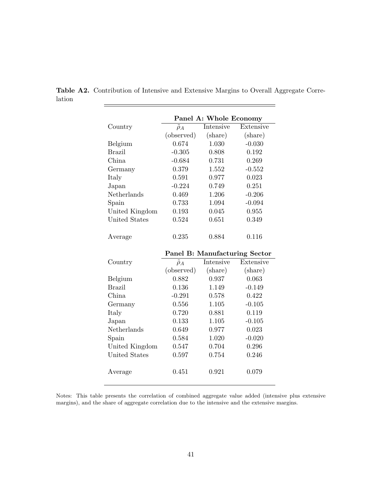|                      |                  | Panel A: Whole Economy        |           |
|----------------------|------------------|-------------------------------|-----------|
| Country              | $\tilde{\rho}_A$ | Intensive                     | Extensive |
|                      | (observed)       | (share)                       | (share)   |
| Belgium              | 0.674            | 1.030                         | $-0.030$  |
| <b>Brazil</b>        | $-0.305$         | 0.808                         | 0.192     |
| China                | $-0.684$         | 0.731                         | 0.269     |
| Germany              | 0.379            | 1.552                         | $-0.552$  |
| Italy                | 0.591            | 0.977                         | 0.023     |
| Japan                | $-0.224$         | 0.749                         | 0.251     |
| Netherlands          | 0.469            | 1.206                         | $-0.206$  |
| Spain                | 0.733            | 1.094                         | $-0.094$  |
| United Kingdom       | 0.193            | 0.045                         | 0.955     |
| United States        | 0.524            | 0.651                         | 0.349     |
| Average              | 0.235            | 0.884                         | 0.116     |
|                      |                  | Panel B: Manufacturing Sector |           |
|                      |                  |                               |           |
| Country              | $\tilde{\rho}_A$ | Intensive                     | Extensive |
|                      | (observed)       | (share)                       | (share)   |
| Belgium              | 0.882            | 0.937                         | 0.063     |
| <b>Brazil</b>        | 0.136            | 1.149                         | $-0.149$  |
| China                | $-0.291$         | 0.578                         | 0.422     |
| Germany              | 0.556            | 1.105                         | $-0.105$  |
| Italy                | 0.720            | 0.881                         | 0.119     |
| Japan                | 0.133            | 1.105                         | $-0.105$  |
| Netherlands          | 0.649            | 0.977                         | 0.023     |
| Spain                | 0.584            | 1.020                         | $-0.020$  |
| United Kingdom       | 0.547            | 0.704                         | 0.296     |
| <b>United States</b> | 0.597            | 0.754                         | 0.246     |

<span id="page-42-0"></span>Table A2. Contribution of Intensive and Extensive Margins to Overall Aggregate Correlation  $=$ 

Notes: This table presents the correlation of combined aggregate value added (intensive plus extensive margins), and the share of aggregate correlation due to the intensive and the extensive margins.